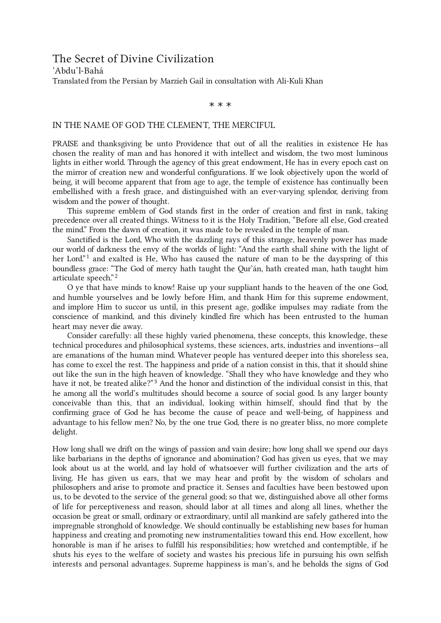## The Secret of Divine Civilization

'Abdu'l‑Bahá

Translated from the Persian by Marzieh Gail in consultation with Ali-Kuli Khan

## \* \* \*

#### IN THE NAME OF GOD THE CLEMENT, THE MERCIFUL

PRAISE and thanksgiving be unto Providence that out of all the realities in existence He has chosen the reality of man and has honored it with intellect and wisdom, the two most luminous lights in either world. Through the agency of this great endowment, He has in every epoch cast on the mirror of creation new and wonderful configurations. If we look objectively upon the world of being, it will become apparent that from age to age, the temple of existence has continually been embellished with a fresh grace, and distinguished with an ever-varying splendor, deriving from wisdom and the power of thought.

This supreme emblem of God stands first in the order of creation and first in rank, taking precedence over all created things. Witness to it is the Holy Tradition, "Before all else, God created the mind." From the dawn of creation, it was made to be revealed in the temple of man.

<span id="page-0-0"></span>Sanctified is the Lord, Who with the dazzling rays of this strange, heavenly power has made our world of darkness the envy of the worlds of light: "And the earth shall shine with the light of her Lord."<sup>[1](#page-35-0)</sup> and exalted is He, Who has caused the nature of man to be the dayspring of this boundless grace: "The God of mercy hath taught the Qur'án, hath created man, hath taught him articulate speech." [2](#page-35-1)

O ye that have minds to know! Raise up your suppliant hands to the heaven of the one God, and humble yourselves and be lowly before Him, and thank Him for this supreme endowment, and implore Him to succor us until, in this present age, godlike impulses may radiate from the conscience of mankind, and this divinely kindled fire which has been entrusted to the human heart may never die away.

<span id="page-0-1"></span>Consider carefully: all these highly varied phenomena, these concepts, this knowledge, these technical procedures and philosophical systems, these sciences, arts, industries and inventions—all are emanations of the human mind. Whatever people has ventured deeper into this shoreless sea, has come to excel the rest. The happiness and pride of a nation consist in this, that it should shine out like the sun in the high heaven of knowledge. "Shall they who have knowledge and they who have it not, be treated alike?" [3](#page-35-2) And the honor and distinction of the individual consist in this, that he among all the world's multitudes should become a source of social good. Is any larger bounty conceivable than this, that an individual, looking within himself, should find that by the confirming grace of God he has become the cause of peace and well-being, of happiness and advantage to his fellow men? No, by the one true God, there is no greater bliss, no more complete delight.

<span id="page-0-2"></span>How long shall we drift on the wings of passion and vain desire; how long shall we spend our days like barbarians in the depths of ignorance and abomination? God has given us eyes, that we may look about us at the world, and lay hold of whatsoever will further civilization and the arts of living. He has given us ears, that we may hear and profit by the wisdom of scholars and philosophers and arise to promote and practice it. Senses and faculties have been bestowed upon us, to be devoted to the service of the general good; so that we, distinguished above all other forms of life for perceptiveness and reason, should labor at all times and along all lines, whether the occasion be great or small, ordinary or extraordinary, until all mankind are safely gathered into the impregnable stronghold of knowledge. We should continually be establishing new bases for human happiness and creating and promoting new instrumentalities toward this end. How excellent, how honorable is man if he arises to fulfill his responsibilities; how wretched and contemptible, if he shuts his eyes to the welfare of society and wastes his precious life in pursuing his own selfish interests and personal advantages. Supreme happiness is man's, and he beholds the signs of God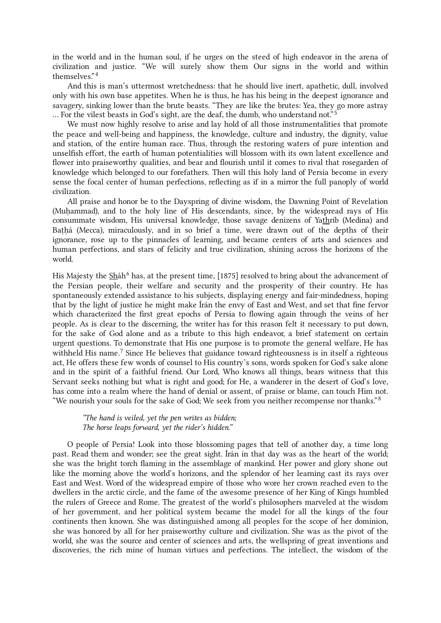in the world and in the human soul, if he urges on the steed of high endeavor in the arena of civilization and justice. "We will surely show them Our signs in the world and within themselves." [4](#page-35-3)

<span id="page-1-0"></span>And this is man's uttermost wretchedness: that he should live inert, apathetic, dull, involved only with his own base appetites. When he is thus, he has his being in the deepest ignorance and savagery, sinking lower than the brute beasts. "They are like the brutes: Yea, they go more astray … For the vilest beasts in God's sight, are the deaf, the dumb, who understand not." [5](#page-35-4)

We must now highly resolve to arise and lay hold of all those instrumentalities that promote the peace and well-being and happiness, the knowledge, culture and industry, the dignity, value and station, of the entire human race. Thus, through the restoring waters of pure intention and unselfish effort, the earth of human potentialities will blossom with its own latent excellence and flower into praiseworthy qualities, and bear and flourish until it comes to rival that rosegarden of knowledge which belonged to our forefathers. Then will this holy land of Persia become in every sense the focal center of human perfections, reflecting as if in a mirror the full panoply of world civilization.

All praise and honor be to the Dayspring of divine wisdom, the Dawning Point of Revelation (Muhammad), and to the holy line of His descendants, since, by the widespread rays of His consummate wisdom, His universal knowledge, those savage denizens of Yathrib (Medina) and Bathá (Mecca), miraculously, and in so brief a time, were drawn out of the depths of their ignorance, rose up to the pinnacles of learning, and became centers of arts and sciences and human perfections, and stars of felicity and true civilization, shining across the horizons of the world.

<span id="page-1-1"></span>His Majesty the Sháh<sup>[6](#page-35-5)</sup> has, at the present time, [1875] resolved to bring about the advancement of the Persian people, their welfare and security and the prosperity of their country. He has spontaneously extended assistance to his subjects, displaying energy and fair-mindedness, hoping that by the light of justice he might make Írán the envy of East and West, and set that fine fervor which characterized the first great epochs of Persia to flowing again through the veins of her people. As is clear to the discerning, the writer has for this reason felt it necessary to put down, for the sake of God alone and as a tribute to this high endeavor, a brief statement on certain urgent questions. To demonstrate that His one purpose is to promote the general welfare, He has withheld His name.<sup>[7](#page-35-6)</sup> Since He believes that guidance toward righteousness is in itself a righteous act, He offers these few words of counsel to His country's sons, words spoken for God's sake alone and in the spirit of a faithful friend. Our Lord, Who knows all things, bears witness that this Servant seeks nothing but what is right and good; for He, a wanderer in the desert of God's love, has come into a realm where the hand of denial or assent, of praise or blame, can touch Him not. "We nourish your souls for the sake of God; We seek from you neither recompense nor thanks."<sup>[8](#page-35-7)</sup>

## "The hand is veiled, yet the pen writes as bidden; The horse leaps forward, yet the rider's hidden."

O people of Persia! Look into those blossoming pages that tell of another day, a time long past. Read them and wonder; see the great sight. Írán in that day was as the heart of the world; she was the bright torch flaming in the assemblage of mankind. Her power and glory shone out like the morning above the world's horizons, and the splendor of her learning cast its rays over East and West. Word of the widespread empire of those who wore her crown reached even to the dwellers in the arctic circle, and the fame of the awesome presence of her King of Kings humbled the rulers of Greece and Rome. The greatest of the world's philosophers marveled at the wisdom of her government, and her political system became the model for all the kings of the four continents then known. She was distinguished among all peoples for the scope of her dominion, she was honored by all for her praiseworthy culture and civilization. She was as the pivot of the world, she was the source and center of sciences and arts, the wellspring of great inventions and discoveries, the rich mine of human virtues and perfections. The intellect, the wisdom of the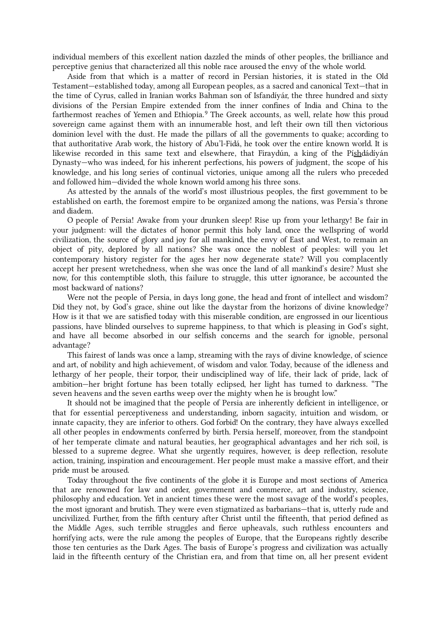individual members of this excellent nation dazzled the minds of other peoples, the brilliance and perceptive genius that characterized all this noble race aroused the envy of the whole world.

<span id="page-2-0"></span>Aside from that which is a matter of record in Persian histories, it is stated in the Old Testament—established today, among all European peoples, as a sacred and canonical Text—that in the time of Cyrus, called in Iranian works Bahman son of Isfandíyár, the three hundred and sixty divisions of the Persian Empire extended from the inner confines of India and China to the farthermost reaches of Yemen and Ethiopia.<sup>[9](#page-35-8)</sup> The Greek accounts, as well, relate how this proud sovereign came against them with an innumerable host, and left their own till then victorious dominion level with the dust. He made the pillars of all the governments to quake; according to that authoritative Arab work, the history of Abu'l-Fidá, he took over the entire known world. It is likewise recorded in this same text and elsewhere, that Firaydún, a king of the Píshdádíyán Dynasty—who was indeed, for his inherent perfections, his powers of judgment, the scope of his knowledge, and his long series of continual victories, unique among all the rulers who preceded and followed him—divided the whole known world among his three sons.

As attested by the annals of the world's most illustrious peoples, the first government to be established on earth, the foremost empire to be organized among the nations, was Persia's throne and diadem.

O people of Persia! Awake from your drunken sleep! Rise up from your lethargy! Be fair in your judgment: will the dictates of honor permit this holy land, once the wellspring of world civilization, the source of glory and joy for all mankind, the envy of East and West, to remain an object of pity, deplored by all nations? She was once the noblest of peoples: will you let contemporary history register for the ages her now degenerate state? Will you complacently accept her present wretchedness, when she was once the land of all mankind's desire? Must she now, for this contemptible sloth, this failure to struggle, this utter ignorance, be accounted the most backward of nations?

Were not the people of Persia, in days long gone, the head and front of intellect and wisdom? Did they not, by God's grace, shine out like the daystar from the horizons of divine knowledge? How is it that we are satisfied today with this miserable condition, are engrossed in our licentious passions, have blinded ourselves to supreme happiness, to that which is pleasing in God's sight, and have all become absorbed in our selfish concerns and the search for ignoble, personal advantage?

This fairest of lands was once a lamp, streaming with the rays of divine knowledge, of science and art, of nobility and high achievement, of wisdom and valor. Today, because of the idleness and lethargy of her people, their torpor, their undisciplined way of life, their lack of pride, lack of ambition—her bright fortune has been totally eclipsed, her light has turned to darkness. "The seven heavens and the seven earths weep over the mighty when he is brought low."

It should not be imagined that the people of Persia are inherently deficient in intelligence, or that for essential perceptiveness and understanding, inborn sagacity, intuition and wisdom, or innate capacity, they are inferior to others. God forbid! On the contrary, they have always excelled all other peoples in endowments conferred by birth. Persia herself, moreover, from the standpoint of her temperate climate and natural beauties, her geographical advantages and her rich soil, is blessed to a supreme degree. What she urgently requires, however, is deep reflection, resolute action, training, inspiration and encouragement. Her people must make a massive effort, and their pride must be aroused.

Today throughout the five continents of the globe it is Europe and most sections of America that are renowned for law and order, government and commerce, art and industry, science, philosophy and education. Yet in ancient times these were the most savage of the world's peoples, the most ignorant and brutish. They were even stigmatized as barbarians—that is, utterly rude and uncivilized. Further, from the fifth century after Christ until the fifteenth, that period defined as the Middle Ages, such terrible struggles and fierce upheavals, such ruthless encounters and horrifying acts, were the rule among the peoples of Europe, that the Europeans rightly describe those ten centuries as the Dark Ages. The basis of Europe's progress and civilization was actually laid in the fifteenth century of the Christian era, and from that time on, all her present evident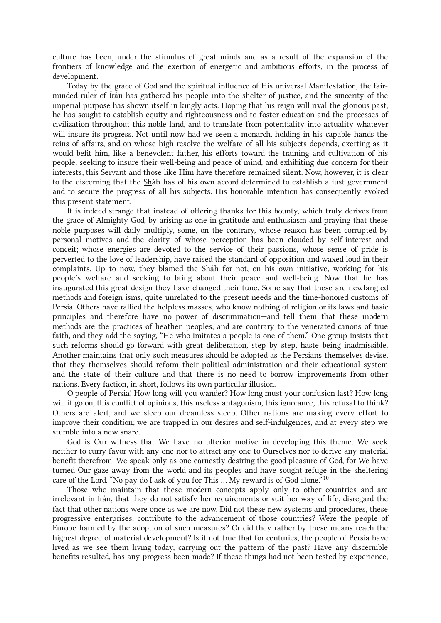culture has been, under the stimulus of great minds and as a result of the expansion of the frontiers of knowledge and the exertion of energetic and ambitious efforts, in the process of development.

Today by the grace of God and the spiritual influence of His universal Manifestation, the fairminded ruler of Írán has gathered his people into the shelter of justice, and the sincerity of the imperial purpose has shown itself in kingly acts. Hoping that his reign will rival the glorious past, he has sought to establish equity and righteousness and to foster education and the processes of civilization throughout this noble land, and to translate from potentiality into actuality whatever will insure its progress. Not until now had we seen a monarch, holding in his capable hands the reins of affairs, and on whose high resolve the welfare of all his subjects depends, exerting as it would befit him, like a benevolent father, his efforts toward the training and cultivation of his people, seeking to insure their well-being and peace of mind, and exhibiting due concern for their interests; this Servant and those like Him have therefore remained silent. Now, however, it is clear to the discerning that the Sháh has of his own accord determined to establish a just government and to secure the progress of all his subjects. His honorable intention has consequently evoked this present statement.

It is indeed strange that instead of offering thanks for this bounty, which truly derives from the grace of Almighty God, by arising as one in gratitude and enthusiasm and praying that these noble purposes will daily multiply, some, on the contrary, whose reason has been corrupted by personal motives and the clarity of whose perception has been clouded by self-interest and conceit; whose energies are devoted to the service of their passions, whose sense of pride is perverted to the love of leadership, have raised the standard of opposition and waxed loud in their complaints. Up to now, they blamed the Sháh for not, on his own initiative, working for his people's welfare and seeking to bring about their peace and well-being. Now that he has inaugurated this great design they have changed their tune. Some say that these are newfangled methods and foreign isms, quite unrelated to the present needs and the time-honored customs of Persia. Others have rallied the helpless masses, who know nothing of religion or its laws and basic principles and therefore have no power of discrimination—and tell them that these modern methods are the practices of heathen peoples, and are contrary to the venerated canons of true faith, and they add the saying, "He who imitates a people is one of them." One group insists that such reforms should go forward with great deliberation, step by step, haste being inadmissible. Another maintains that only such measures should be adopted as the Persians themselves devise, that they themselves should reform their political administration and their educational system and the state of their culture and that there is no need to borrow improvements from other nations. Every faction, in short, follows its own particular illusion.

O people of Persia! How long will you wander? How long must your confusion last? How long will it go on, this conflict of opinions, this useless antagonism, this ignorance, this refusal to think? Others are alert, and we sleep our dreamless sleep. Other nations are making every effort to improve their condition; we are trapped in our desires and self-indulgences, and at every step we stumble into a new snare.

<span id="page-3-0"></span>God is Our witness that We have no ulterior motive in developing this theme. We seek neither to curry favor with any one nor to attract any one to Ourselves nor to derive any material benefit therefrom. We speak only as one earnestly desiring the good pleasure of God, for We have turned Our gaze away from the world and its peoples and have sought refuge in the sheltering care of the Lord. "No pay do I ask of you for This ... My reward is of God alone."<sup>[10](#page-35-9)</sup>

Those who maintain that these modern concepts apply only to other countries and are irrelevant in Írán, that they do not satisfy her requirements or suit her way of life, disregard the fact that other nations were once as we are now. Did not these new systems and procedures, these progressive enterprises, contribute to the advancement of those countries? Were the people of Europe harmed by the adoption of such measures? Or did they rather by these means reach the highest degree of material development? Is it not true that for centuries, the people of Persia have lived as we see them living today, carrying out the pattern of the past? Have any discernible benefits resulted, has any progress been made? If these things had not been tested by experience,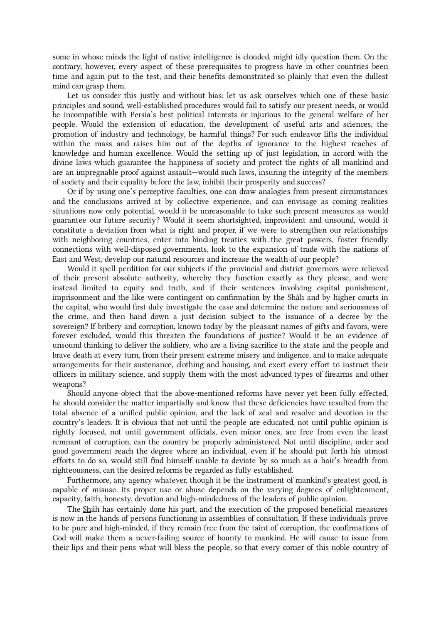some in whose minds the light of native intelligence is clouded, might idly question them. On the contrary, however, every aspect of these prerequisites to progress have in other countries been time and again put to the test, and their benefits demonstrated so plainly that even the dullest mind can grasp them.

Let us consider this justly and without bias: let us ask ourselves which one of these basic principles and sound, well-established procedures would fail to satisfy our present needs, or would be incompatible with Persia's best political interests or injurious to the general welfare of her people. Would the extension of education, the development of useful arts and sciences, the promotion of industry and technology, be harmful things? For such endeavor lifts the individual within the mass and raises him out of the depths of ignorance to the highest reaches of knowledge and human excellence. Would the setting up of just legislation, in accord with the divine laws which guarantee the happiness of society and protect the rights of all mankind and are an impregnable proof against assault—would such laws, insuring the integrity of the members of society and their equality before the law, inhibit their prosperity and success?

Or if by using one's perceptive faculties, one can draw analogies from present circumstances and the conclusions arrived at by collective experience, and can envisage as coming realities situations now only potential, would it be unreasonable to take such present measures as would guarantee our future security? Would it seem shortsighted, improvident and unsound, would it constitute a deviation from what is right and proper, if we were to strengthen our relationships with neighboring countries, enter into binding treaties with the great powers, foster friendly connections with well-disposed governments, look to the expansion of trade with the nations of East and West, develop our natural resources and increase the wealth of our people?

Would it spell perdition for our subjects if the provincial and district governors were relieved of their present absolute authority, whereby they function exactly as they please, and were instead limited to equity and truth, and if their sentences involving capital punishment, imprisonment and the like were contingent on confirmation by the Shah and by higher courts in the capital, who would first duly investigate the case and determine the nature and seriousness of the crime, and then hand down a just decision subject to the issuance of a decree by the sovereign? If bribery and corruption, known today by the pleasant names of gifts and favors, were forever excluded, would this threaten the foundations of justice? Would it be an evidence of unsound thinking to deliver the soldiery, who are a living sacrifice to the state and the people and brave death at every turn, from their present extreme misery and indigence, and to make adequate arrangements for their sustenance, clothing and housing, and exert every effort to instruct their officers in military science, and supply them with the most advanced types of firearms and other weapons?

Should anyone object that the above-mentioned reforms have never yet been fully effected, he should consider the matter impartially and know that these deficiencies have resulted from the total absence of a unified public opinion, and the lack of zeal and resolve and devotion in the country's leaders. It is obvious that not until the people are educated, not until public opinion is rightly focused, not until government officials, even minor ones, are free from even the least remnant of corruption, can the country be properly administered. Not until discipline, order and good government reach the degree where an individual, even if he should put forth his utmost efforts to do so, would still find himself unable to deviate by so much as a hair's breadth from righteousness, can the desired reforms be regarded as fully established.

Furthermore, any agency whatever, though it be the instrument of mankind's greatest good, is capable of misuse. Its proper use or abuse depends on the varying degrees of enlightenment, capacity, faith, honesty, devotion and high-mindedness of the leaders of public opinion.

<span id="page-4-0"></span>The Sháh has certainly done his part, and the execution of the proposed beneficial measures is now in the hands of persons functioning in assemblies of consultation. If these individuals prove to be pure and high-minded, if they remain free from the taint of corruption, the confirmations of God will make them a never-failing source of bounty to mankind. He will cause to issue from their lips and their pens what will bless the people, so that every corner of this noble country of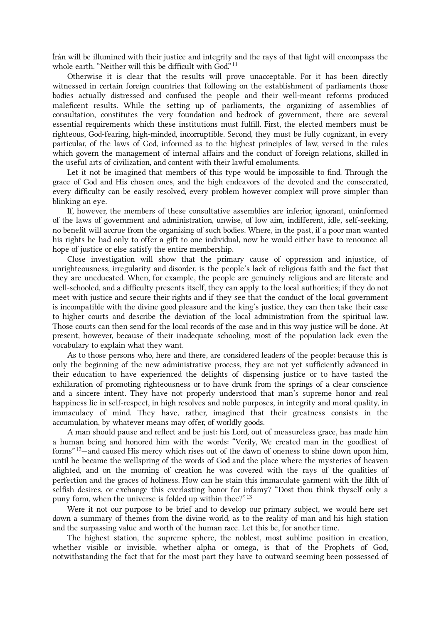Írán will be illumined with their justice and integrity and the rays of that light will encompass the whole earth. "Neither will this be difficult with God."<sup>[11](#page-35-10)</sup>

Otherwise it is clear that the results will prove unacceptable. For it has been directly witnessed in certain foreign countries that following on the establishment of parliaments those bodies actually distressed and confused the people and their well-meant reforms produced maleficent results. While the setting up of parliaments, the organizing of assemblies of consultation, constitutes the very foundation and bedrock of government, there are several essential requirements which these institutions must fulfill. First, the elected members must be righteous, God-fearing, high-minded, incorruptible. Second, they must be fully cognizant, in every particular, of the laws of God, informed as to the highest principles of law, versed in the rules which govern the management of internal affairs and the conduct of foreign relations, skilled in the useful arts of civilization, and content with their lawful emoluments.

Let it not be imagined that members of this type would be impossible to find. Through the grace of God and His chosen ones, and the high endeavors of the devoted and the consecrated, every difficulty can be easily resolved, every problem however complex will prove simpler than blinking an eye.

If, however, the members of these consultative assemblies are inferior, ignorant, uninformed of the laws of government and administration, unwise, of low aim, indifferent, idle, self-seeking, no benefit will accrue from the organizing of such bodies. Where, in the past, if a poor man wanted his rights he had only to offer a gift to one individual, now he would either have to renounce all hope of justice or else satisfy the entire membership.

Close investigation will show that the primary cause of oppression and injustice, of unrighteousness, irregularity and disorder, is the people's lack of religious faith and the fact that they are uneducated. When, for example, the people are genuinely religious and are literate and well-schooled, and a difficulty presents itself, they can apply to the local authorities; if they do not meet with justice and secure their rights and if they see that the conduct of the local government is incompatible with the divine good pleasure and the king's justice, they can then take their case to higher courts and describe the deviation of the local administration from the spiritual law. Those courts can then send for the local records of the case and in this way justice will be done. At present, however, because of their inadequate schooling, most of the population lack even the vocabulary to explain what they want.

As to those persons who, here and there, are considered leaders of the people: because this is only the beginning of the new administrative process, they are not yet sufficiently advanced in their education to have experienced the delights of dispensing justice or to have tasted the exhilaration of promoting righteousness or to have drunk from the springs of a clear conscience and a sincere intent. They have not properly understood that man's supreme honor and real happiness lie in self-respect, in high resolves and noble purposes, in integrity and moral quality, in immaculacy of mind. They have, rather, imagined that their greatness consists in the accumulation, by whatever means may offer, of worldly goods.

<span id="page-5-0"></span>A man should pause and reflect and be just: his Lord, out of measureless grace, has made him a human being and honored him with the words: "Verily, We created man in the goodliest of forms"<sup>[12](#page-35-11)</sup>-and caused His mercy which rises out of the dawn of oneness to shine down upon him, until he became the wellspring of the words of God and the place where the mysteries of heaven alighted, and on the morning of creation he was covered with the rays of the qualities of perfection and the graces of holiness. How can he stain this immaculate garment with the filth of selfish desires, or exchange this everlasting honor for infamy? "Dost thou think thyself only a puny form, when the universe is folded up within thee?"<sup>[13](#page-35-12)</sup>

Were it not our purpose to be brief and to develop our primary subject, we would here set down a summary of themes from the divine world, as to the reality of man and his high station and the surpassing value and worth of the human race. Let this be, for another time.

The highest station, the supreme sphere, the noblest, most sublime position in creation, whether visible or invisible, whether alpha or omega, is that of the Prophets of God, notwithstanding the fact that for the most part they have to outward seeming been possessed of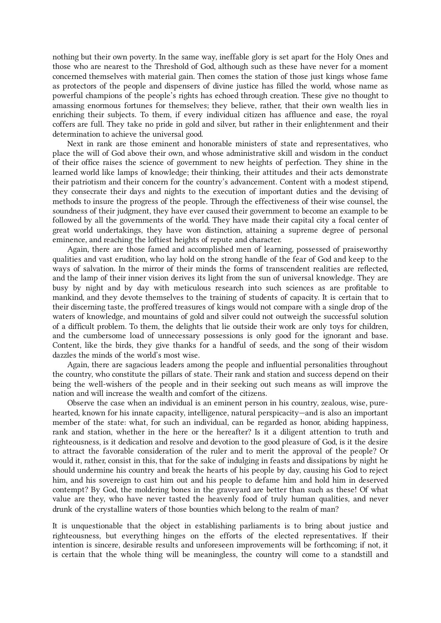nothing but their own poverty. In the same way, ineffable glory is set apart for the Holy Ones and those who are nearest to the Threshold of God, although such as these have never for a moment concerned themselves with material gain. Then comes the station of those just kings whose fame as protectors of the people and dispensers of divine justice has filled the world, whose name as powerful champions of the people's rights has echoed through creation. These give no thought to amassing enormous fortunes for themselves; they believe, rather, that their own wealth lies in enriching their subjects. To them, if every individual citizen has affluence and ease, the royal coffers are full. They take no pride in gold and silver, but rather in their enlightenment and their determination to achieve the universal good.

Next in rank are those eminent and honorable ministers of state and representatives, who place the will of God above their own, and whose administrative skill and wisdom in the conduct of their office raises the science of government to new heights of perfection. They shine in the learned world like lamps of knowledge; their thinking, their attitudes and their acts demonstrate their patriotism and their concern for the country's advancement. Content with a modest stipend, they consecrate their days and nights to the execution of important duties and the devising of methods to insure the progress of the people. Through the effectiveness of their wise counsel, the soundness of their judgment, they have ever caused their government to become an example to be followed by all the governments of the world. They have made their capital city a focal center of great world undertakings, they have won distinction, attaining a supreme degree of personal eminence, and reaching the loftiest heights of repute and character.

Again, there are those famed and accomplished men of learning, possessed of praiseworthy qualities and vast erudition, who lay hold on the strong handle of the fear of God and keep to the ways of salvation. In the mirror of their minds the forms of transcendent realities are reflected, and the lamp of their inner vision derives its light from the sun of universal knowledge. They are busy by night and by day with meticulous research into such sciences as are profitable to mankind, and they devote themselves to the training of students of capacity. It is certain that to their discerning taste, the proffered treasures of kings would not compare with a single drop of the waters of knowledge, and mountains of gold and silver could not outweigh the successful solution of a difficult problem. To them, the delights that lie outside their work are only toys for children, and the cumbersome load of unnecessary possessions is only good for the ignorant and base. Content, like the birds, they give thanks for a handful of seeds, and the song of their wisdom dazzles the minds of the world's most wise.

Again, there are sagacious leaders among the people and influential personalities throughout the country, who constitute the pillars of state. Their rank and station and success depend on their being the well-wishers of the people and in their seeking out such means as will improve the nation and will increase the wealth and comfort of the citizens.

Observe the case when an individual is an eminent person in his country, zealous, wise, purehearted, known for his innate capacity, intelligence, natural perspicacity—and is also an important member of the state: what, for such an individual, can be regarded as honor, abiding happiness, rank and station, whether in the here or the hereafter? Is it a diligent attention to truth and righteousness, is it dedication and resolve and devotion to the good pleasure of God, is it the desire to attract the favorable consideration of the ruler and to merit the approval of the people? Or would it, rather, consist in this, that for the sake of indulging in feasts and dissipations by night he should undermine his country and break the hearts of his people by day, causing his God to reject him, and his sovereign to cast him out and his people to defame him and hold him in deserved contempt? By God, the moldering bones in the graveyard are better than such as these! Of what value are they, who have never tasted the heavenly food of truly human qualities, and never drunk of the crystalline waters of those bounties which belong to the realm of man?

It is unquestionable that the object in establishing parliaments is to bring about justice and righteousness, but everything hinges on the efforts of the elected representatives. If their intention is sincere, desirable results and unforeseen improvements will be forthcoming; if not, it is certain that the whole thing will be meaningless, the country will come to a standstill and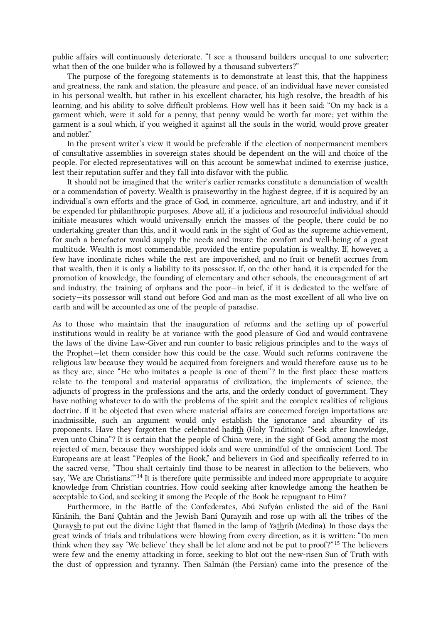public affairs will continuously deteriorate. "I see a thousand builders unequal to one subverter; what then of the one builder who is followed by a thousand subverters?"

The purpose of the foregoing statements is to demonstrate at least this, that the happiness and greatness, the rank and station, the pleasure and peace, of an individual have never consisted in his personal wealth, but rather in his excellent character, his high resolve, the breadth of his learning, and his ability to solve difficult problems. How well has it been said: "On my back is a garment which, were it sold for a penny, that penny would be worth far more; yet within the garment is a soul which, if you weighed it against all the souls in the world, would prove greater and nobler."

In the present writer's view it would be preferable if the election of nonpermanent members of consultative assemblies in sovereign states should be dependent on the will and choice of the people. For elected representatives will on this account be somewhat inclined to exercise justice, lest their reputation suffer and they fall into disfavor with the public.

It should not be imagined that the writer's earlier remarks constitute a denunciation of wealth or a commendation of poverty. Wealth is praiseworthy in the highest degree, if it is acquired by an individual's own efforts and the grace of God, in commerce, agriculture, art and industry, and if it be expended for philanthropic purposes. Above all, if a judicious and resourceful individual should initiate measures which would universally enrich the masses of the people, there could be no undertaking greater than this, and it would rank in the sight of God as the supreme achievement, for such a benefactor would supply the needs and insure the comfort and well-being of a great multitude. Wealth is most commendable, provided the entire population is wealthy. If, however, a few have inordinate riches while the rest are impoverished, and no fruit or benefit accrues from that wealth, then it is only a liability to its possessor. If, on the other hand, it is expended for the promotion of knowledge, the founding of elementary and other schools, the encouragement of art and industry, the training of orphans and the poor—in brief, if it is dedicated to the welfare of society—its possessor will stand out before God and man as the most excellent of all who live on earth and will be accounted as one of the people of paradise.

<span id="page-7-0"></span>As to those who maintain that the inauguration of reforms and the setting up of powerful institutions would in reality be at variance with the good pleasure of God and would contravene the laws of the divine Law-Giver and run counter to basic religious principles and to the ways of the Prophet—let them consider how this could be the case. Would such reforms contravene the religious law because they would be acquired from foreigners and would therefore cause us to be as they are, since "He who imitates a people is one of them"? In the first place these matters relate to the temporal and material apparatus of civilization, the implements of science, the adjuncts of progress in the professions and the arts, and the orderly conduct of government. They have nothing whatever to do with the problems of the spirit and the complex realities of religious doctrine. If it be objected that even where material affairs are concerned foreign importations are inadmissible, such an argument would only establish the ignorance and absurdity of its proponents. Have they forgotten the celebrated ḥadíth (Holy Tradition): "Seek after knowledge, even unto China"? It is certain that the people of China were, in the sight of God, among the most rejected of men, because they worshipped idols and were unmindful of the omniscient Lord. The Europeans are at least "Peoples of the Book," and believers in God and specifically referred to in the sacred verse, "Thou shalt certainly find those to be nearest in affection to the believers, who say, 'We are Christians.'"<sup>[14](#page-35-13)</sup> It is therefore quite permissible and indeed more appropriate to acquire knowledge from Christian countries. How could seeking after knowledge among the heathen be acceptable to God, and seeking it among the People of the Book be repugnant to Him?

<span id="page-7-1"></span>Furthermore, in the Battle of the Confederates, Abú Sufyán enlisted the aid of the Baní Kinánih, the Baní Qahtán and the Jewish Baní Qurayzih and rose up with all the tribes of the Quraysh to put out the divine Light that flamed in the lamp of Yathrib (Medina). In those days the great winds of trials and tribulations were blowing from every direction, as it is written: "Do men think when they say 'We believe' they shall be let alone and not be put to proof?"<sup>[15](#page-35-14)</sup> The believers were few and the enemy attacking in force, seeking to blot out the new-risen Sun of Truth with the dust of oppression and tyranny. Then Salmán (the Persian) came into the presence of the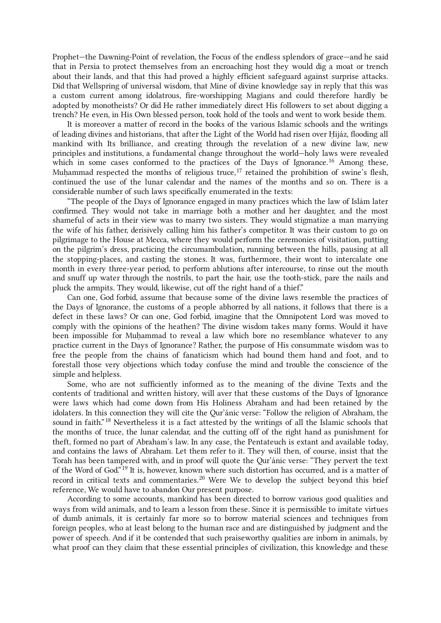Prophet—the Dawning-Point of revelation, the Focus of the endless splendors of grace—and he said that in Persia to protect themselves from an encroaching host they would dig a moat or trench about their lands, and that this had proved a highly efficient safeguard against surprise attacks. Did that Wellspring of universal wisdom, that Mine of divine knowledge say in reply that this was a custom current among idolatrous, fire-worshipping Magians and could therefore hardly be adopted by monotheists? Or did He rather immediately direct His followers to set about digging a trench? He even, in His Own blessed person, took hold of the tools and went to work beside them.

<span id="page-8-0"></span>It is moreover a matter of record in the books of the various Islamic schools and the writings of leading divines and historians, that after the Light of the World had risen over Ḥijáz, flooding all mankind with Its brilliance, and creating through the revelation of a new divine law, new principles and institutions, a fundamental change throughout the world—holy laws were revealed which in some cases conformed to the practices of the Days of Ignorance.<sup>[16](#page-35-15)</sup> Among these, Muḥammad respected the months of religious truce,<sup>[17](#page-35-16)</sup> retained the prohibition of swine's flesh, continued the use of the lunar calendar and the names of the months and so on. There is a considerable number of such laws specifically enumerated in the texts:

"The people of the Days of Ignorance engaged in many practices which the law of Islám later confirmed. They would not take in marriage both a mother and her daughter, and the most shameful of acts in their view was to marry two sisters. They would stigmatize a man marrying the wife of his father, derisively calling him his father's competitor. It was their custom to go on pilgrimage to the House at Mecca, where they would perform the ceremonies of visitation, putting on the pilgrim's dress, practicing the circumambulation, running between the hills, pausing at all the stopping-places, and casting the stones. It was, furthermore, their wont to intercalate one month in every three-year period, to perform ablutions after intercourse, to rinse out the mouth and snuff up water through the nostrils, to part the hair, use the tooth-stick, pare the nails and pluck the armpits. They would, likewise, cut off the right hand of a thief."

Can one, God forbid, assume that because some of the divine laws resemble the practices of the Days of Ignorance, the customs of a people abhorred by all nations, it follows that there is a defect in these laws? Or can one, God forbid, imagine that the Omnipotent Lord was moved to comply with the opinions of the heathen? The divine wisdom takes many forms. Would it have been impossible for Muhammad to reveal a law which bore no resemblance whatever to any practice current in the Days of Ignorance? Rather, the purpose of His consummate wisdom was to free the people from the chains of fanaticism which had bound them hand and foot, and to forestall those very objections which today confuse the mind and trouble the conscience of the simple and helpless.

<span id="page-8-1"></span>Some, who are not sufficiently informed as to the meaning of the divine Texts and the contents of traditional and written history, will aver that these customs of the Days of Ignorance were laws which had come down from His Holiness Abraham and had been retained by the idolaters. In this connection they will cite the Qur'ánic verse: "Follow the religion of Abraham, the sound in faith."<sup>[18](#page-35-17)</sup> Nevertheless it is a fact attested by the writings of all the Islamic schools that the months of truce, the lunar calendar, and the cutting off of the right hand as punishment for theft, formed no part of Abraham's law. In any case, the Pentateuch is extant and available today, and contains the laws of Abraham. Let them refer to it. They will then, of course, insist that the Torah has been tampered with, and in proof will quote the Qur'ánic verse: "They pervert the text of the Word of God."<sup>[19](#page-35-18)</sup> It is, however, known where such distortion has occurred, and is a matter of record in critical texts and commentaries.<sup>[20](#page-35-19)</sup> Were We to develop the subject beyond this brief reference, We would have to abandon Our present purpose.

According to some accounts, mankind has been directed to borrow various good qualities and ways from wild animals, and to learn a lesson from these. Since it is permissible to imitate virtues of dumb animals, it is certainly far more so to borrow material sciences and techniques from foreign peoples, who at least belong to the human race and are distinguished by judgment and the power of speech. And if it be contended that such praiseworthy qualities are inborn in animals, by what proof can they claim that these essential principles of civilization, this knowledge and these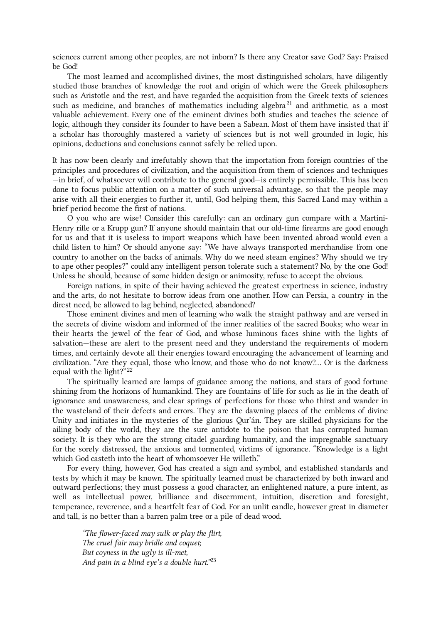sciences current among other peoples, are not inborn? Is there any Creator save God? Say: Praised be God!

<span id="page-9-0"></span>The most learned and accomplished divines, the most distinguished scholars, have diligently studied those branches of knowledge the root and origin of which were the Greek philosophers such as Aristotle and the rest, and have regarded the acquisition from the Greek texts of sciences such as medicine, and branches of mathematics including algebra<sup>[21](#page-35-20)</sup> and arithmetic, as a most valuable achievement. Every one of the eminent divines both studies and teaches the science of logic, although they consider its founder to have been a Sabean. Most of them have insisted that if a scholar has thoroughly mastered a variety of sciences but is not well grounded in logic, his opinions, deductions and conclusions cannot safely be relied upon.

It has now been clearly and irrefutably shown that the importation from foreign countries of the principles and procedures of civilization, and the acquisition from them of sciences and techniques —in brief, of whatsoever will contribute to the general good—is entirely permissible. This has been done to focus public attention on a matter of such universal advantage, so that the people may arise with all their energies to further it, until, God helping them, this Sacred Land may within a brief period become the first of nations.

O you who are wise! Consider this carefully: can an ordinary gun compare with a Martini-Henry rifle or a Krupp gun? If anyone should maintain that our old-time firearms are good enough for us and that it is useless to import weapons which have been invented abroad would even a child listen to him? Or should anyone say: "We have always transported merchandise from one country to another on the backs of animals. Why do we need steam engines? Why should we try to ape other peoples?" could any intelligent person tolerate such a statement? No, by the one God! Unless he should, because of some hidden design or animosity, refuse to accept the obvious.

Foreign nations, in spite of their having achieved the greatest expertness in science, industry and the arts, do not hesitate to borrow ideas from one another. How can Persia, a country in the direst need, be allowed to lag behind, neglected, abandoned?

<span id="page-9-1"></span>Those eminent divines and men of learning who walk the straight pathway and are versed in the secrets of divine wisdom and informed of the inner realities of the sacred Books; who wear in their hearts the jewel of the fear of God, and whose luminous faces shine with the lights of salvation—these are alert to the present need and they understand the requirements of modern times, and certainly devote all their energies toward encouraging the advancement of learning and civilization. "Are they equal, those who know, and those who do not know?… Or is the darkness equal with the light?"<sup>[22](#page-35-21)</sup>

The spiritually learned are lamps of guidance among the nations, and stars of good fortune shining from the horizons of humankind. They are fountains of life for such as lie in the death of ignorance and unawareness, and clear springs of perfections for those who thirst and wander in the wasteland of their defects and errors. They are the dawning places of the emblems of divine Unity and initiates in the mysteries of the glorious Qur'án. They are skilled physicians for the ailing body of the world, they are the sure antidote to the poison that has corrupted human society. It is they who are the strong citadel guarding humanity, and the impregnable sanctuary for the sorely distressed, the anxious and tormented, victims of ignorance. "Knowledge is a light which God casteth into the heart of whomsoever He willeth."

For every thing, however, God has created a sign and symbol, and established standards and tests by which it may be known. The spiritually learned must be characterized by both inward and outward perfections; they must possess a good character, an enlightened nature, a pure intent, as well as intellectual power, brilliance and discernment, intuition, discretion and foresight, temperance, reverence, and a heartfelt fear of God. For an unlit candle, however great in diameter and tall, is no better than a barren palm tree or a pile of dead wood.

<span id="page-9-2"></span>"The flower-faced may sulk or play the flirt, The cruel fair may bridle and coquet; But coyness in the ugly is ill-met, And pain in a blind eye's a double hurt." $^{23}$  $^{23}$  $^{23}$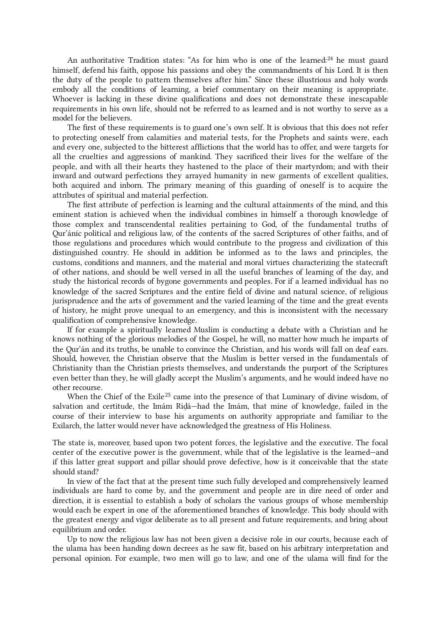<span id="page-10-0"></span>An authoritative Tradition states: "As for him who is one of the learned:<sup>[24](#page-35-23)</sup> he must guard himself, defend his faith, oppose his passions and obey the commandments of his Lord. It is then the duty of the people to pattern themselves after him." Since these illustrious and holy words embody all the conditions of learning, a brief commentary on their meaning is appropriate. Whoever is lacking in these divine qualifications and does not demonstrate these inescapable requirements in his own life, should not be referred to as learned and is not worthy to serve as a model for the believers.

The first of these requirements is to guard one's own self. It is obvious that this does not refer to protecting oneself from calamities and material tests, for the Prophets and saints were, each and every one, subjected to the bitterest afflictions that the world has to offer, and were targets for all the cruelties and aggressions of mankind. They sacrificed their lives for the welfare of the people, and with all their hearts they hastened to the place of their martyrdom; and with their inward and outward perfections they arrayed humanity in new garments of excellent qualities, both acquired and inborn. The primary meaning of this guarding of oneself is to acquire the attributes of spiritual and material perfection.

The first attribute of perfection is learning and the cultural attainments of the mind, and this eminent station is achieved when the individual combines in himself a thorough knowledge of those complex and transcendental realities pertaining to God, of the fundamental truths of Qur'ánic political and religious law, of the contents of the sacred Scriptures of other faiths, and of those regulations and procedures which would contribute to the progress and civilization of this distinguished country. He should in addition be informed as to the laws and principles, the customs, conditions and manners, and the material and moral virtues characterizing the statecraft of other nations, and should be well versed in all the useful branches of learning of the day, and study the historical records of bygone governments and peoples. For if a learned individual has no knowledge of the sacred Scriptures and the entire field of divine and natural science, of religious jurisprudence and the arts of government and the varied learning of the time and the great events of history, he might prove unequal to an emergency, and this is inconsistent with the necessary qualification of comprehensive knowledge.

If for example a spiritually learned Muslim is conducting a debate with a Christian and he knows nothing of the glorious melodies of the Gospel, he will, no matter how much he imparts of the Qur'án and its truths, be unable to convince the Christian, and his words will fall on deaf ears. Should, however, the Christian observe that the Muslim is better versed in the fundamentals of Christianity than the Christian priests themselves, and understands the purport of the Scriptures even better than they, he will gladly accept the Muslim's arguments, and he would indeed have no other recourse.

<span id="page-10-1"></span>When the Chief of the Exile<sup>[25](#page-35-24)</sup> came into the presence of that Luminary of divine wisdom, of salvation and certitude, the Imám Ridá-had the Imám, that mine of knowledge, failed in the course of their interview to base his arguments on authority appropriate and familiar to the Exilarch, the latter would never have acknowledged the greatness of His Holiness.

The state is, moreover, based upon two potent forces, the legislative and the executive. The focal center of the executive power is the government, while that of the legislative is the learned—and if this latter great support and pillar should prove defective, how is it conceivable that the state should stand?

In view of the fact that at the present time such fully developed and comprehensively learned individuals are hard to come by, and the government and people are in dire need of order and direction, it is essential to establish a body of scholars the various groups of whose membership would each be expert in one of the aforementioned branches of knowledge. This body should with the greatest energy and vigor deliberate as to all present and future requirements, and bring about equilibrium and order.

Up to now the religious law has not been given a decisive role in our courts, because each of the ulama has been handing down decrees as he saw fit, based on his arbitrary interpretation and personal opinion. For example, two men will go to law, and one of the ulama will find for the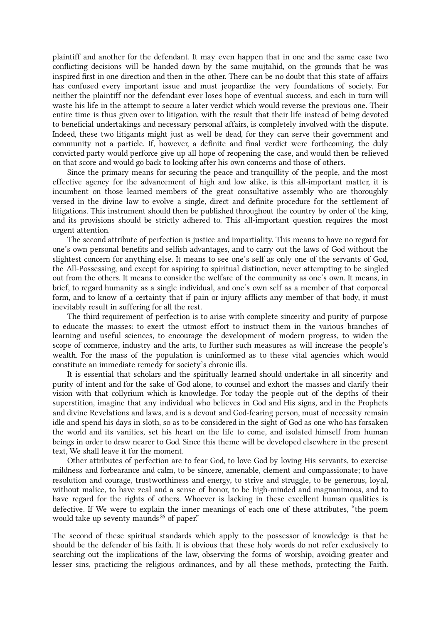plaintiff and another for the defendant. It may even happen that in one and the same case two conflicting decisions will be handed down by the same mujtahid, on the grounds that he was inspired first in one direction and then in the other. There can be no doubt that this state of affairs has confused every important issue and must jeopardize the very foundations of society. For neither the plaintiff nor the defendant ever loses hope of eventual success, and each in turn will waste his life in the attempt to secure a later verdict which would reverse the previous one. Their entire time is thus given over to litigation, with the result that their life instead of being devoted to beneficial undertakings and necessary personal affairs, is completely involved with the dispute. Indeed, these two litigants might just as well be dead, for they can serve their government and community not a particle. If, however, a definite and final verdict were forthcoming, the duly convicted party would perforce give up all hope of reopening the case, and would then be relieved on that score and would go back to looking after his own concerns and those of others.

Since the primary means for securing the peace and tranquillity of the people, and the most effective agency for the advancement of high and low alike, is this all-important matter, it is incumbent on those learned members of the great consultative assembly who are thoroughly versed in the divine law to evolve a single, direct and definite procedure for the settlement of litigations. This instrument should then be published throughout the country by order of the king, and its provisions should be strictly adhered to. This all-important question requires the most urgent attention.

The second attribute of perfection is justice and impartiality. This means to have no regard for one's own personal benefits and selfish advantages, and to carry out the laws of God without the slightest concern for anything else. It means to see one's self as only one of the servants of God, the All-Possessing, and except for aspiring to spiritual distinction, never attempting to be singled out from the others. It means to consider the welfare of the community as one's own. It means, in brief, to regard humanity as a single individual, and one's own self as a member of that corporeal form, and to know of a certainty that if pain or injury afflicts any member of that body, it must inevitably result in suffering for all the rest.

The third requirement of perfection is to arise with complete sincerity and purity of purpose to educate the masses: to exert the utmost effort to instruct them in the various branches of learning and useful sciences, to encourage the development of modern progress, to widen the scope of commerce, industry and the arts, to further such measures as will increase the people's wealth. For the mass of the population is uninformed as to these vital agencies which would constitute an immediate remedy for society's chronic ills.

It is essential that scholars and the spiritually learned should undertake in all sincerity and purity of intent and for the sake of God alone, to counsel and exhort the masses and clarify their vision with that collyrium which is knowledge. For today the people out of the depths of their superstition, imagine that any individual who believes in God and His signs, and in the Prophets and divine Revelations and laws, and is a devout and God-fearing person, must of necessity remain idle and spend his days in sloth, so as to be considered in the sight of God as one who has forsaken the world and its vanities, set his heart on the life to come, and isolated himself from human beings in order to draw nearer to God. Since this theme will be developed elsewhere in the present text, We shall leave it for the moment.

<span id="page-11-0"></span>Other attributes of perfection are to fear God, to love God by loving His servants, to exercise mildness and forbearance and calm, to be sincere, amenable, clement and compassionate; to have resolution and courage, trustworthiness and energy, to strive and struggle, to be generous, loyal, without malice, to have zeal and a sense of honor, to be high-minded and magnanimous, and to have regard for the rights of others. Whoever is lacking in these excellent human qualities is defective. If We were to explain the inner meanings of each one of these attributes, "the poem would take up seventy maunds $^{26}$  $^{26}$  $^{26}$  of paper."

The second of these spiritual standards which apply to the possessor of knowledge is that he should be the defender of his faith. It is obvious that these holy words do not refer exclusively to searching out the implications of the law, observing the forms of worship, avoiding greater and lesser sins, practicing the religious ordinances, and by all these methods, protecting the Faith.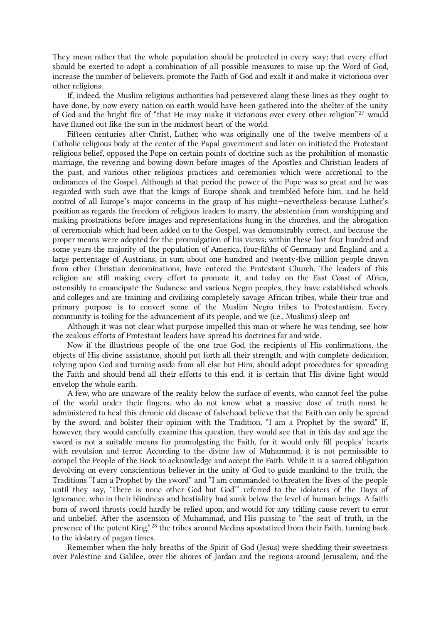They mean rather that the whole population should be protected in every way; that every effort should be exerted to adopt a combination of all possible measures to raise up the Word of God, increase the number of believers, promote the Faith of God and exalt it and make it victorious over other religions.

<span id="page-12-0"></span>If, indeed, the Muslim religious authorities had persevered along these lines as they ought to have done, by now every nation on earth would have been gathered into the shelter of the unity of God and the bright fire of "that He may make it victorious over every other religion"<sup>[27](#page-35-26)</sup> would have flamed out like the sun in the midmost heart of the world.

Fifteen centuries after Christ, Luther, who was originally one of the twelve members of a Catholic religious body at the center of the Papal government and later on initiated the Protestant religious belief, opposed the Pope on certain points of doctrine such as the prohibition of monastic marriage, the revering and bowing down before images of the Apostles and Christian leaders of the past, and various other religious practices and ceremonies which were accretional to the ordinances of the Gospel. Although at that period the power of the Pope was so great and he was regarded with such awe that the kings of Europe shook and trembled before him, and he held control of all Europe's major concerns in the grasp of his might—nevertheless because Luther's position as regards the freedom of religious leaders to marry, the abstention from worshipping and making prostrations before images and representations hung in the churches, and the abrogation of ceremonials which had been added on to the Gospel, was demonstrably correct, and because the proper means were adopted for the promulgation of his views: within these last four hundred and some years the majority of the population of America, four-fifths of Germany and England and a large percentage of Austrians, in sum about one hundred and twenty-five million people drawn from other Christian denominations, have entered the Protestant Church. The leaders of this religion are still making every effort to promote it, and today on the East Coast of Africa, ostensibly to emancipate the Sudanese and various Negro peoples, they have established schools and colleges and are training and civilizing completely savage African tribes, while their true and primary purpose is to convert some of the Muslim Negro tribes to Protestantism. Every community is toiling for the advancement of its people, and we (i.e., Muslims) sleep on!

Although it was not clear what purpose impelled this man or where he was tending, see how the zealous efforts of Protestant leaders have spread his doctrines far and wide.

Now if the illustrious people of the one true God, the recipients of His confirmations, the objects of His divine assistance, should put forth all their strength, and with complete dedication, relying upon God and turning aside from all else but Him, should adopt procedures for spreading the Faith and should bend all their efforts to this end, it is certain that His divine light would envelop the whole earth.

<span id="page-12-1"></span>A few, who are unaware of the reality below the surface of events, who cannot feel the pulse of the world under their fingers, who do not know what a massive dose of truth must be administered to heal this chronic old disease of falsehood, believe that the Faith can only be spread by the sword, and bolster their opinion with the Tradition, "I am a Prophet by the sword." If, however, they would carefully examine this question, they would see that in this day and age the sword is not a suitable means for promulgating the Faith, for it would only fill peoples' hearts with revulsion and terror. According to the divine law of Muhammad, it is not permissible to compel the People of the Book to acknowledge and accept the Faith. While it is a sacred obligation devolving on every conscientious believer in the unity of God to guide mankind to the truth, the Traditions "I am a Prophet by the sword" and "I am commanded to threaten the lives of the people until they say, 'There is none other God but God'" referred to the idolaters of the Days of Ignorance, who in their blindness and bestiality had sunk below the level of human beings. A faith born of sword thrusts could hardly be relied upon, and would for any trifling cause revert to error and unbelief. After the ascension of Muhammad, and His passing to "the seat of truth, in the presence of the potent King,"<sup>[28](#page-35-27)</sup> the tribes around Medina apostatized from their Faith, turning back to the idolatry of pagan times.

<span id="page-12-2"></span>Remember when the holy breaths of the Spirit of God (Jesus) were shedding their sweetness over Palestine and Galilee, over the shores of Jordan and the regions around Jerusalem, and the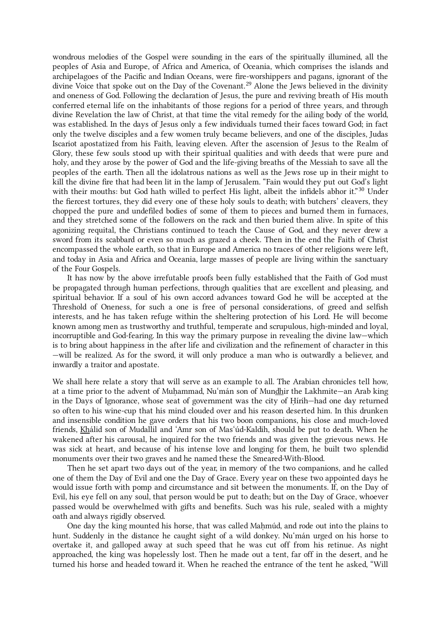wondrous melodies of the Gospel were sounding in the ears of the spiritually illumined, all the peoples of Asia and Europe, of Africa and America, of Oceania, which comprises the islands and archipelagoes of the Pacific and Indian Oceans, were fire-worshippers and pagans, ignorant of the divine Voice that spoke out on the Day of the Covenant.<sup>[29](#page-35-28)</sup> Alone the Jews believed in the divinity and oneness of God. Following the declaration of Jesus, the pure and reviving breath of His mouth conferred eternal life on the inhabitants of those regions for a period of three years, and through divine Revelation the law of Christ, at that time the vital remedy for the ailing body of the world, was established. In the days of Jesus only a few individuals turned their faces toward God; in fact only the twelve disciples and a few women truly became believers, and one of the disciples, Judas Iscariot apostatized from his Faith, leaving eleven. After the ascension of Jesus to the Realm of Glory, these few souls stood up with their spiritual qualities and with deeds that were pure and holy, and they arose by the power of God and the life-giving breaths of the Messiah to save all the peoples of the earth. Then all the idolatrous nations as well as the Jews rose up in their might to kill the divine fire that had been lit in the lamp of Jerusalem. "Fain would they put out God's light with their mouths: but God hath willed to perfect His light, albeit the infidels abhor it."<sup>[30](#page-35-29)</sup> Under the fiercest tortures, they did every one of these holy souls to death; with butchers' cleavers, they chopped the pure and undefiled bodies of some of them to pieces and burned them in furnaces, and they stretched some of the followers on the rack and then buried them alive. In spite of this agonizing requital, the Christians continued to teach the Cause of God, and they never drew a sword from its scabbard or even so much as grazed a cheek. Then in the end the Faith of Christ encompassed the whole earth, so that in Europe and America no traces of other religions were left, and today in Asia and Africa and Oceania, large masses of people are living within the sanctuary of the Four Gospels.

It has now by the above irrefutable proofs been fully established that the Faith of God must be propagated through human perfections, through qualities that are excellent and pleasing, and spiritual behavior. If a soul of his own accord advances toward God he will be accepted at the Threshold of Oneness, for such a one is free of personal considerations, of greed and selfish interests, and he has taken refuge within the sheltering protection of his Lord. He will become known among men as trustworthy and truthful, temperate and scrupulous, high-minded and loyal, incorruptible and God-fearing. In this way the primary purpose in revealing the divine law—which is to bring about happiness in the after life and civilization and the refinement of character in this —will be realized. As for the sword, it will only produce a man who is outwardly a believer, and inwardly a traitor and apostate.

We shall here relate a story that will serve as an example to all. The Arabian chronicles tell how, at a time prior to the advent of Muhammad, Nu'mán son of Mundhir the Lakhmite—an Arab king in the Days of Ignorance, whose seat of government was the city of Ḥírih—had one day returned so often to his wine-cup that his mind clouded over and his reason deserted him. In this drunken and insensible condition he gave orders that his two boon companions, his close and much-loved friends, Khálid son of Mudallil and 'Amr son of Mas'úd-Kaldih, should be put to death. When he wakened after his carousal, he inquired for the two friends and was given the grievous news. He was sick at heart, and because of his intense love and longing for them, he built two splendid monuments over their two graves and he named these the Smeared-With-Blood.

Then he set apart two days out of the year, in memory of the two companions, and he called one of them the Day of Evil and one the Day of Grace. Every year on these two appointed days he would issue forth with pomp and circumstance and sit between the monuments. If, on the Day of Evil, his eye fell on any soul, that person would be put to death; but on the Day of Grace, whoever passed would be overwhelmed with gifts and benefits. Such was his rule, sealed with a mighty oath and always rigidly observed.

One day the king mounted his horse, that was called Mahmúd, and rode out into the plains to hunt. Suddenly in the distance he caught sight of a wild donkey. Nu'mán urged on his horse to overtake it, and galloped away at such speed that he was cut off from his retinue. As night approached, the king was hopelessly lost. Then he made out a tent, far off in the desert, and he turned his horse and headed toward it. When he reached the entrance of the tent he asked, "Will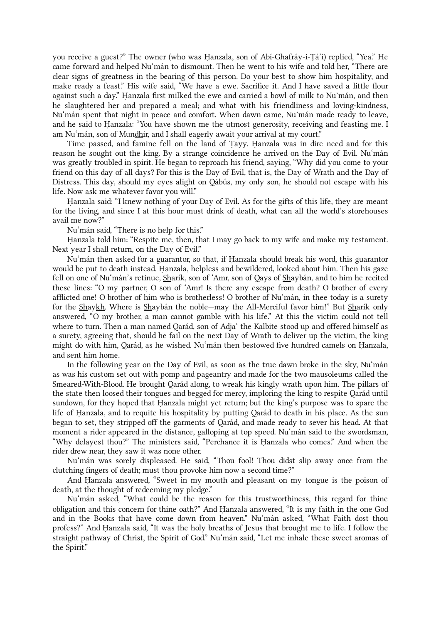you receive a guest?" The owner (who was Ḥanzala, son of Abí-Ghafráy-i-Ṭá'í) replied, "Yea." He came forward and helped Nu'mán to dismount. Then he went to his wife and told her, "There are clear signs of greatness in the bearing of this person. Do your best to show him hospitality, and make ready a feast." His wife said, "We have a ewe. Sacrifice it. And I have saved a little flour against such a day." Ḥanzala first milked the ewe and carried a bowl of milk to Nu'mán, and then he slaughtered her and prepared a meal; and what with his friendliness and loving-kindness, Nu'mán spent that night in peace and comfort. When dawn came, Nu'mán made ready to leave, and he said to Ḥanzala: "You have shown me the utmost generosity, receiving and feasting me. I am Nu'mán, son of Mundhir, and I shall eagerly await your arrival at my court."

Time passed, and famine fell on the land of Ṭayy. Ḥanzala was in dire need and for this reason he sought out the king. By a strange coincidence he arrived on the Day of Evil. Nu'mán was greatly troubled in spirit. He began to reproach his friend, saying, "Why did you come to your friend on this day of all days? For this is the Day of Evil, that is, the Day of Wrath and the Day of Distress. This day, should my eyes alight on Qábús, my only son, he should not escape with his life. Now ask me whatever favor you will."

Ḥanzala said: "I knew nothing of your Day of Evil. As for the gifts of this life, they are meant for the living, and since I at this hour must drink of death, what can all the world's storehouses avail me now?"

Nu'mán said, "There is no help for this."

Hanzala told him: "Respite me, then, that I may go back to my wife and make my testament. Next year I shall return, on the Day of Evil."

Nu'mán then asked for a guarantor, so that, if Ḥanzala should break his word, this guarantor would be put to death instead. Ḥanzala, helpless and bewildered, looked about him. Then his gaze fell on one of Nu'mán's retinue, Sharík, son of 'Amr, son of Qays of Shaybán, and to him he recited these lines: "O my partner, O son of 'Amr! Is there any escape from death? O brother of every afflicted one! O brother of him who is brotherless! O brother of Nu'mán, in thee today is a surety for the Shaykh. Where is Shaybán the noble—may the All-Merciful favor him!" But Sharík only answered, "O my brother, a man cannot gamble with his life." At this the victim could not tell where to turn. Then a man named Qarád, son of Adja' the Kalbite stood up and offered himself as a surety, agreeing that, should he fail on the next Day of Wrath to deliver up the victim, the king might do with him, Qarád, as he wished. Nu'mán then bestowed five hundred camels on Ḥanzala, and sent him home.

In the following year on the Day of Evil, as soon as the true dawn broke in the sky, Nu'mán as was his custom set out with pomp and pageantry and made for the two mausoleums called the Smeared-With-Blood. He brought Qarád along, to wreak his kingly wrath upon him. The pillars of the state then loosed their tongues and begged for mercy, imploring the king to respite Qarád until sundown, for they hoped that Ḥanzala might yet return; but the king's purpose was to spare the life of Ḥanzala, and to requite his hospitality by putting Qarád to death in his place. As the sun began to set, they stripped off the garments of Qarád, and made ready to sever his head. At that moment a rider appeared in the distance, galloping at top speed. Nu'mán said to the swordsman, "Why delayest thou?" The ministers said, "Perchance it is Ḥanzala who comes." And when the rider drew near, they saw it was none other.

Nu'mán was sorely displeased. He said, "Thou fool! Thou didst slip away once from the clutching fingers of death; must thou provoke him now a second time?"

And Ḥanzala answered, "Sweet in my mouth and pleasant on my tongue is the poison of death, at the thought of redeeming my pledge."

Nu'mán asked, "What could be the reason for this trustworthiness, this regard for thine obligation and this concern for thine oath?" And Ḥanzala answered, "It is my faith in the one God and in the Books that have come down from heaven." Nu'mán asked, "What Faith dost thou profess?" And Ḥanzala said, "It was the holy breaths of Jesus that brought me to life. I follow the straight pathway of Christ, the Spirit of God." Nu'mán said, "Let me inhale these sweet aromas of the Spirit."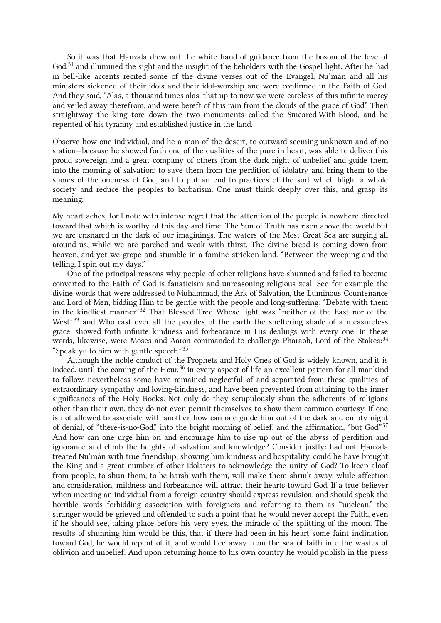<span id="page-15-0"></span>So it was that Ḥanzala drew out the white hand of guidance from the bosom of the love of God,<sup>[31](#page-36-0)</sup> and illumined the sight and the insight of the beholders with the Gospel light. After he had in bell-like accents recited some of the divine verses out of the Evangel, Nu'mán and all his ministers sickened of their idols and their idol-worship and were confirmed in the Faith of God. And they said, "Alas, a thousand times alas, that up to now we were careless of this infinite mercy and veiled away therefrom, and were bereft of this rain from the clouds of the grace of God." Then straightway the king tore down the two monuments called the Smeared-With-Blood, and he repented of his tyranny and established justice in the land.

Observe how one individual, and he a man of the desert, to outward seeming unknown and of no station—because he showed forth one of the qualities of the pure in heart, was able to deliver this proud sovereign and a great company of others from the dark night of unbelief and guide them into the morning of salvation; to save them from the perdition of idolatry and bring them to the shores of the oneness of God, and to put an end to practices of the sort which blight a whole society and reduce the peoples to barbarism. One must think deeply over this, and grasp its meaning.

My heart aches, for I note with intense regret that the attention of the people is nowhere directed toward that which is worthy of this day and time. The Sun of Truth has risen above the world but we are ensnared in the dark of our imaginings. The waters of the Most Great Sea are surging all around us, while we are parched and weak with thirst. The divine bread is coming down from heaven, and yet we grope and stumble in a famine-stricken land. "Between the weeping and the telling, I spin out my days."

<span id="page-15-1"></span>One of the principal reasons why people of other religions have shunned and failed to become converted to the Faith of God is fanaticism and unreasoning religious zeal. See for example the divine words that were addressed to Muhammad, the Ark of Salvation, the Luminous Countenance and Lord of Men, bidding Him to be gentle with the people and long-suffering: "Debate with them in the kindliest manner."<sup>[32](#page-36-1)</sup> That Blessed Tree Whose light was "neither of the East nor of the West<sup>"[33](#page-36-2)</sup> and Who cast over all the peoples of the earth the sheltering shade of a measureless grace, showed forth infinite kindness and forbearance in His dealings with every one. In these words, likewise, were Moses and Aaron commanded to challenge Pharaoh, Lord of the Stakes:<sup>[34](#page-36-3)</sup> "Speak ye to him with gentle speech." [35](#page-36-4)

<span id="page-15-2"></span>Although the noble conduct of the Prophets and Holy Ones of God is widely known, and it is indeed, until the coming of the Hour,<sup>[36](#page-36-5)</sup> in every aspect of life an excellent pattern for all mankind to follow, nevertheless some have remained neglectful of and separated from these qualities of extraordinary sympathy and loving-kindness, and have been prevented from attaining to the inner significances of the Holy Books. Not only do they scrupulously shun the adherents of religions other than their own, they do not even permit themselves to show them common courtesy. If one is not allowed to associate with another, how can one guide him out of the dark and empty night of denial, of "there-is-no-God," into the bright morning of belief, and the affirmation, "but God."<sup>[37](#page-36-6)</sup> And how can one urge him on and encourage him to rise up out of the abyss of perdition and ignorance and climb the heights of salvation and knowledge? Consider justly: had not Ḥanzala treated Nu'mán with true friendship, showing him kindness and hospitality, could he have brought the King and a great number of other idolaters to acknowledge the unity of God? To keep aloof from people, to shun them, to be harsh with them, will make them shrink away, while affection and consideration, mildness and forbearance will attract their hearts toward God. If a true believer when meeting an individual from a foreign country should express revulsion, and should speak the horrible words forbidding association with foreigners and referring to them as "unclean," the stranger would be grieved and offended to such a point that he would never accept the Faith, even if he should see, taking place before his very eyes, the miracle of the splitting of the moon. The results of shunning him would be this, that if there had been in his heart some faint inclination toward God, he would repent of it, and would flee away from the sea of faith into the wastes of oblivion and unbelief. And upon returning home to his own country he would publish in the press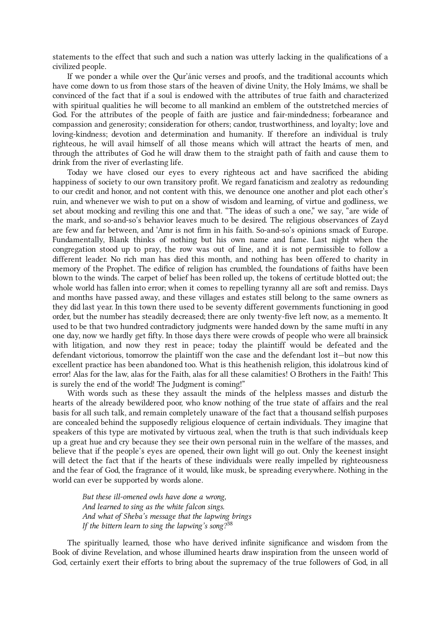statements to the effect that such and such a nation was utterly lacking in the qualifications of a civilized people.

If we ponder a while over the Qur'ánic verses and proofs, and the traditional accounts which have come down to us from those stars of the heaven of divine Unity, the Holy Imáms, we shall be convinced of the fact that if a soul is endowed with the attributes of true faith and characterized with spiritual qualities he will become to all mankind an emblem of the outstretched mercies of God. For the attributes of the people of faith are justice and fair-mindedness; forbearance and compassion and generosity; consideration for others; candor, trustworthiness, and loyalty; love and loving-kindness; devotion and determination and humanity. If therefore an individual is truly righteous, he will avail himself of all those means which will attract the hearts of men, and through the attributes of God he will draw them to the straight path of faith and cause them to drink from the river of everlasting life.

Today we have closed our eyes to every righteous act and have sacrificed the abiding happiness of society to our own transitory profit. We regard fanaticism and zealotry as redounding to our credit and honor, and not content with this, we denounce one another and plot each other's ruin, and whenever we wish to put on a show of wisdom and learning, of virtue and godliness, we set about mocking and reviling this one and that. "The ideas of such a one," we say, "are wide of the mark, and so-and-so's behavior leaves much to be desired. The religious observances of Zayd are few and far between, and 'Amr is not firm in his faith. So-and-so's opinions smack of Europe. Fundamentally, Blank thinks of nothing but his own name and fame. Last night when the congregation stood up to pray, the row was out of line, and it is not permissible to follow a different leader. No rich man has died this month, and nothing has been offered to charity in memory of the Prophet. The edifice of religion has crumbled, the foundations of faiths have been blown to the winds. The carpet of belief has been rolled up, the tokens of certitude blotted out; the whole world has fallen into error; when it comes to repelling tyranny all are soft and remiss. Days and months have passed away, and these villages and estates still belong to the same owners as they did last year. In this town there used to be seventy different governments functioning in good order, but the number has steadily decreased; there are only twenty-five left now, as a memento. It used to be that two hundred contradictory judgments were handed down by the same muftí in any one day, now we hardly get fifty. In those days there were crowds of people who were all brainsick with litigation, and now they rest in peace; today the plaintiff would be defeated and the defendant victorious, tomorrow the plaintiff won the case and the defendant lost it—but now this excellent practice has been abandoned too. What is this heathenish religion, this idolatrous kind of error! Alas for the law, alas for the Faith, alas for all these calamities! O Brothers in the Faith! This is surely the end of the world! The Judgment is coming!"

With words such as these they assault the minds of the helpless masses and disturb the hearts of the already bewildered poor, who know nothing of the true state of affairs and the real basis for all such talk, and remain completely unaware of the fact that a thousand selfish purposes are concealed behind the supposedly religious eloquence of certain individuals. They imagine that speakers of this type are motivated by virtuous zeal, when the truth is that such individuals keep up a great hue and cry because they see their own personal ruin in the welfare of the masses, and believe that if the people's eyes are opened, their own light will go out. Only the keenest insight will detect the fact that if the hearts of these individuals were really impelled by righteousness and the fear of God, the fragrance of it would, like musk, be spreading everywhere. Nothing in the world can ever be supported by words alone.

<span id="page-16-0"></span>But these ill-omened owls have done a wrong, And learned to sing as the white falcon sings. And what of Sheba's message that the lapwing brings If the bittern learn to sing the lapwing's song?<sup>[38](#page-36-7)</sup>

The spiritually learned, those who have derived infinite significance and wisdom from the Book of divine Revelation, and whose illumined hearts draw inspiration from the unseen world of God, certainly exert their efforts to bring about the supremacy of the true followers of God, in all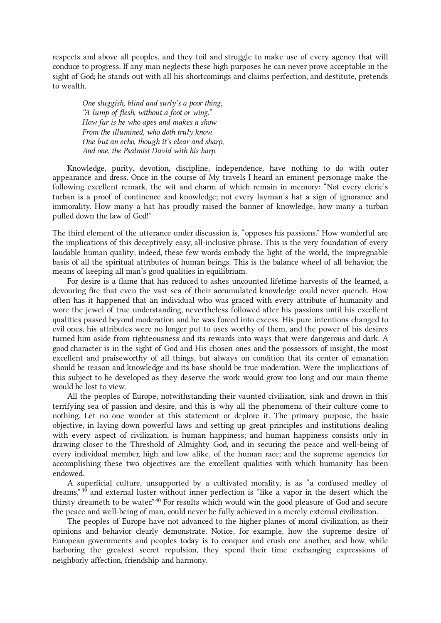respects and above all peoples, and they toil and struggle to make use of every agency that will conduce to progress. If any man neglects these high purposes he can never prove acceptable in the sight of God; he stands out with all his shortcomings and claims perfection, and destitute, pretends to wealth.

One sluggish, blind and surly's a poor thing, "A lump of flesh, without a foot or wing." How far is he who apes and makes a show From the illumined, who doth truly know. One but an echo, though it's clear and sharp, And one, the Psalmist David with his harp.

Knowledge, purity, devotion, discipline, independence, have nothing to do with outer appearance and dress. Once in the course of My travels I heard an eminent personage make the following excellent remark, the wit and charm of which remain in memory: "Not every cleric's turban is a proof of continence and knowledge; not every layman's hat a sign of ignorance and immorality. How many a hat has proudly raised the banner of knowledge, how many a turban pulled down the law of God!"

The third element of the utterance under discussion is, "opposes his passions." How wonderful are the implications of this deceptively easy, all-inclusive phrase. This is the very foundation of every laudable human quality; indeed, these few words embody the light of the world, the impregnable basis of all the spiritual attributes of human beings. This is the balance wheel of all behavior, the means of keeping all man's good qualities in equilibrium.

For desire is a flame that has reduced to ashes uncounted lifetime harvests of the learned, a devouring fire that even the vast sea of their accumulated knowledge could never quench. How often has it happened that an individual who was graced with every attribute of humanity and wore the jewel of true understanding, nevertheless followed after his passions until his excellent qualities passed beyond moderation and he was forced into excess. His pure intentions changed to evil ones, his attributes were no longer put to uses worthy of them, and the power of his desires turned him aside from righteousness and its rewards into ways that were dangerous and dark. A good character is in the sight of God and His chosen ones and the possessors of insight, the most excellent and praiseworthy of all things, but always on condition that its center of emanation should be reason and knowledge and its base should be true moderation. Were the implications of this subject to be developed as they deserve the work would grow too long and our main theme would be lost to view.

All the peoples of Europe, notwithstanding their vaunted civilization, sink and drown in this terrifying sea of passion and desire, and this is why all the phenomena of their culture come to nothing. Let no one wonder at this statement or deplore it. The primary purpose, the basic objective, in laying down powerful laws and setting up great principles and institutions dealing with every aspect of civilization, is human happiness; and human happiness consists only in drawing closer to the Threshold of Almighty God, and in securing the peace and well-being of every individual member, high and low alike, of the human race; and the supreme agencies for accomplishing these two objectives are the excellent qualities with which humanity has been endowed.

<span id="page-17-0"></span>A superficial culture, unsupported by a cultivated morality, is as "a confused medley of dreams," [39](#page-36-8) and external luster without inner perfection is "like a vapor in the desert which the thirsty dreameth to be water."<sup>[40](#page-36-9)</sup> For results which would win the good pleasure of God and secure the peace and well-being of man, could never be fully achieved in a merely external civilization.

The peoples of Europe have not advanced to the higher planes of moral civilization, as their opinions and behavior clearly demonstrate. Notice, for example, how the supreme desire of European governments and peoples today is to conquer and crush one another, and how, while harboring the greatest secret repulsion, they spend their time exchanging expressions of neighborly affection, friendship and harmony.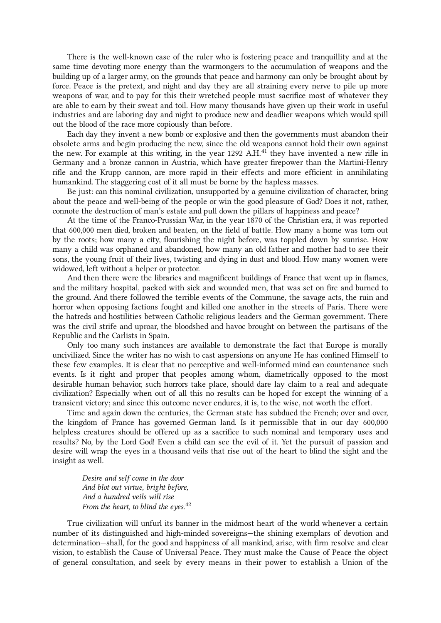There is the well-known case of the ruler who is fostering peace and tranquillity and at the same time devoting more energy than the warmongers to the accumulation of weapons and the building up of a larger army, on the grounds that peace and harmony can only be brought about by force. Peace is the pretext, and night and day they are all straining every nerve to pile up more weapons of war, and to pay for this their wretched people must sacrifice most of whatever they are able to earn by their sweat and toil. How many thousands have given up their work in useful industries and are laboring day and night to produce new and deadlier weapons which would spill out the blood of the race more copiously than before.

<span id="page-18-0"></span>Each day they invent a new bomb or explosive and then the governments must abandon their obsolete arms and begin producing the new, since the old weapons cannot hold their own against the new. For example at this writing, in the year 1292 A.H.<sup>[41](#page-36-10)</sup> they have invented a new rifle in Germany and a bronze cannon in Austria, which have greater firepower than the Martini-Henry rifle and the Krupp cannon, are more rapid in their effects and more efficient in annihilating humankind. The staggering cost of it all must be borne by the hapless masses.

Be just: can this nominal civilization, unsupported by a genuine civilization of character, bring about the peace and well-being of the people or win the good pleasure of God? Does it not, rather, connote the destruction of man's estate and pull down the pillars of happiness and peace?

At the time of the Franco-Prussian War, in the year 1870 of the Christian era, it was reported that 600,000 men died, broken and beaten, on the field of battle. How many a home was torn out by the roots; how many a city, flourishing the night before, was toppled down by sunrise. How many a child was orphaned and abandoned, how many an old father and mother had to see their sons, the young fruit of their lives, twisting and dying in dust and blood. How many women were widowed, left without a helper or protector.

And then there were the libraries and magnificent buildings of France that went up in flames, and the military hospital, packed with sick and wounded men, that was set on fire and burned to the ground. And there followed the terrible events of the Commune, the savage acts, the ruin and horror when opposing factions fought and killed one another in the streets of Paris. There were the hatreds and hostilities between Catholic religious leaders and the German government. There was the civil strife and uproar, the bloodshed and havoc brought on between the partisans of the Republic and the Carlists in Spain.

Only too many such instances are available to demonstrate the fact that Europe is morally uncivilized. Since the writer has no wish to cast aspersions on anyone He has confined Himself to these few examples. It is clear that no perceptive and well-informed mind can countenance such events. Is it right and proper that peoples among whom, diametrically opposed to the most desirable human behavior, such horrors take place, should dare lay claim to a real and adequate civilization? Especially when out of all this no results can be hoped for except the winning of a transient victory; and since this outcome never endures, it is, to the wise, not worth the effort.

Time and again down the centuries, the German state has subdued the French; over and over, the kingdom of France has governed German land. Is it permissible that in our day 600,000 helpless creatures should be offered up as a sacrifice to such nominal and temporary uses and results? No, by the Lord God! Even a child can see the evil of it. Yet the pursuit of passion and desire will wrap the eyes in a thousand veils that rise out of the heart to blind the sight and the insight as well.

<span id="page-18-1"></span>Desire and self come in the door And blot out virtue, bright before, And a hundred veils will rise From the heart, to blind the eyes.  $42$ 

<span id="page-18-2"></span>True civilization will unfurl its banner in the midmost heart of the world whenever a certain number of its distinguished and high-minded sovereigns—the shining exemplars of devotion and determination—shall, for the good and happiness of all mankind, arise, with firm resolve and clear vision, to establish the Cause of Universal Peace. They must make the Cause of Peace the object of general consultation, and seek by every means in their power to establish a Union of the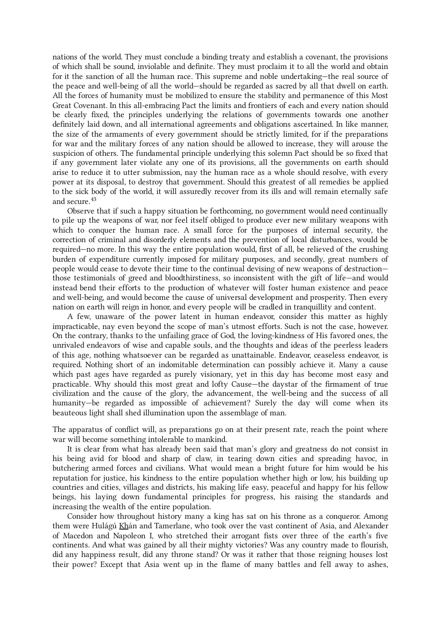nations of the world. They must conclude a binding treaty and establish a covenant, the provisions of which shall be sound, inviolable and definite. They must proclaim it to all the world and obtain for it the sanction of all the human race. This supreme and noble undertaking—the real source of the peace and well-being of all the world—should be regarded as sacred by all that dwell on earth. All the forces of humanity must be mobilized to ensure the stability and permanence of this Most Great Covenant. In this all-embracing Pact the limits and frontiers of each and every nation should be clearly fixed, the principles underlying the relations of governments towards one another definitely laid down, and all international agreements and obligations ascertained. In like manner, the size of the armaments of every government should be strictly limited, for if the preparations for war and the military forces of any nation should be allowed to increase, they will arouse the suspicion of others. The fundamental principle underlying this solemn Pact should be so fixed that if any government later violate any one of its provisions, all the governments on earth should arise to reduce it to utter submission, nay the human race as a whole should resolve, with every power at its disposal, to destroy that government. Should this greatest of all remedies be applied to the sick body of the world, it will assuredly recover from its ills and will remain eternally safe and secure. [43](#page-36-12)

Observe that if such a happy situation be forthcoming, no government would need continually to pile up the weapons of war, nor feel itself obliged to produce ever new military weapons with which to conquer the human race. A small force for the purposes of internal security, the correction of criminal and disorderly elements and the prevention of local disturbances, would be required—no more. In this way the entire population would, first of all, be relieved of the crushing burden of expenditure currently imposed for military purposes, and secondly, great numbers of people would cease to devote their time to the continual devising of new weapons of destruction those testimonials of greed and bloodthirstiness, so inconsistent with the gift of life—and would instead bend their efforts to the production of whatever will foster human existence and peace and well-being, and would become the cause of universal development and prosperity. Then every nation on earth will reign in honor, and every people will be cradled in tranquillity and content.

A few, unaware of the power latent in human endeavor, consider this matter as highly impracticable, nay even beyond the scope of man's utmost efforts. Such is not the case, however. On the contrary, thanks to the unfailing grace of God, the loving-kindness of His favored ones, the unrivaled endeavors of wise and capable souls, and the thoughts and ideas of the peerless leaders of this age, nothing whatsoever can be regarded as unattainable. Endeavor, ceaseless endeavor, is required. Nothing short of an indomitable determination can possibly achieve it. Many a cause which past ages have regarded as purely visionary, yet in this day has become most easy and practicable. Why should this most great and lofty Cause—the daystar of the firmament of true civilization and the cause of the glory, the advancement, the well-being and the success of all humanity—be regarded as impossible of achievement? Surely the day will come when its beauteous light shall shed illumination upon the assemblage of man.

The apparatus of conflict will, as preparations go on at their present rate, reach the point where war will become something intolerable to mankind.

It is clear from what has already been said that man's glory and greatness do not consist in his being avid for blood and sharp of claw, in tearing down cities and spreading havoc, in butchering armed forces and civilians. What would mean a bright future for him would be his reputation for justice, his kindness to the entire population whether high or low, his building up countries and cities, villages and districts, his making life easy, peaceful and happy for his fellow beings, his laying down fundamental principles for progress, his raising the standards and increasing the wealth of the entire population.

Consider how throughout history many a king has sat on his throne as a conqueror. Among them were Hulágú Khán and Tamerlane, who took over the vast continent of Asia, and Alexander of Macedon and Napoleon I, who stretched their arrogant fists over three of the earth's five continents. And what was gained by all their mighty victories? Was any country made to flourish, did any happiness result, did any throne stand? Or was it rather that those reigning houses lost their power? Except that Asia went up in the flame of many battles and fell away to ashes,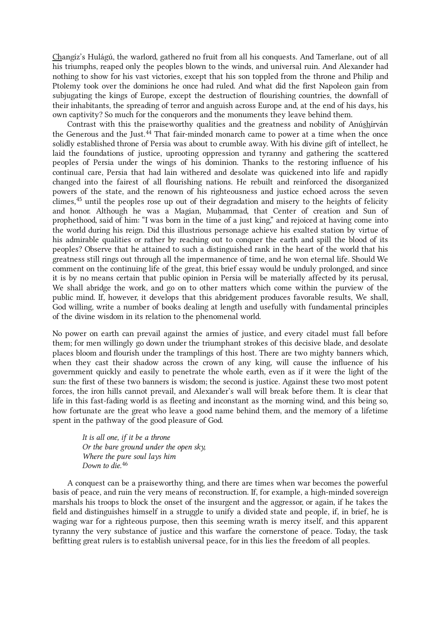Changíz's Hulágú, the warlord, gathered no fruit from all his conquests. And Tamerlane, out of all his triumphs, reaped only the peoples blown to the winds, and universal ruin. And Alexander had nothing to show for his vast victories, except that his son toppled from the throne and Philip and Ptolemy took over the dominions he once had ruled. And what did the first Napoleon gain from subjugating the kings of Europe, except the destruction of flourishing countries, the downfall of their inhabitants, the spreading of terror and anguish across Europe and, at the end of his days, his own captivity? So much for the conquerors and the monuments they leave behind them.

<span id="page-20-0"></span>Contrast with this the praiseworthy qualities and the greatness and nobility of Anúshírván the Generous and the Just.<sup>[44](#page-36-13)</sup> That fair-minded monarch came to power at a time when the once solidly established throne of Persia was about to crumble away. With his divine gift of intellect, he laid the foundations of justice, uprooting oppression and tyranny and gathering the scattered peoples of Persia under the wings of his dominion. Thanks to the restoring influence of his continual care, Persia that had lain withered and desolate was quickened into life and rapidly changed into the fairest of all flourishing nations. He rebuilt and reinforced the disorganized powers of the state, and the renown of his righteousness and justice echoed across the seven climes,<sup>[45](#page-36-14)</sup> until the peoples rose up out of their degradation and misery to the heights of felicity and honor. Although he was a Magian, Muhammad, that Center of creation and Sun of prophethood, said of him: "I was born in the time of a just king," and rejoiced at having come into the world during his reign. Did this illustrious personage achieve his exalted station by virtue of his admirable qualities or rather by reaching out to conquer the earth and spill the blood of its peoples? Observe that he attained to such a distinguished rank in the heart of the world that his greatness still rings out through all the impermanence of time, and he won eternal life. Should We comment on the continuing life of the great, this brief essay would be unduly prolonged, and since it is by no means certain that public opinion in Persia will be materially affected by its perusal, We shall abridge the work, and go on to other matters which come within the purview of the public mind. If, however, it develops that this abridgement produces favorable results, We shall, God willing, write a number of books dealing at length and usefully with fundamental principles of the divine wisdom in its relation to the phenomenal world.

No power on earth can prevail against the armies of justice, and every citadel must fall before them; for men willingly go down under the triumphant strokes of this decisive blade, and desolate places bloom and flourish under the tramplings of this host. There are two mighty banners which, when they cast their shadow across the crown of any king, will cause the influence of his government quickly and easily to penetrate the whole earth, even as if it were the light of the sun: the first of these two banners is wisdom; the second is justice. Against these two most potent forces, the iron hills cannot prevail, and Alexander's wall will break before them. It is clear that life in this fast-fading world is as fleeting and inconstant as the morning wind, and this being so, how fortunate are the great who leave a good name behind them, and the memory of a lifetime spent in the pathway of the good pleasure of God.

<span id="page-20-1"></span>It is all one, if it be a throne Or the bare ground under the open sky, Where the pure soul lays him Down to die.<sup>[46](#page-36-15)</sup>

A conquest can be a praiseworthy thing, and there are times when war becomes the powerful basis of peace, and ruin the very means of reconstruction. If, for example, a high-minded sovereign marshals his troops to block the onset of the insurgent and the aggressor, or again, if he takes the field and distinguishes himself in a struggle to unify a divided state and people, if, in brief, he is waging war for a righteous purpose, then this seeming wrath is mercy itself, and this apparent tyranny the very substance of justice and this warfare the cornerstone of peace. Today, the task befitting great rulers is to establish universal peace, for in this lies the freedom of all peoples.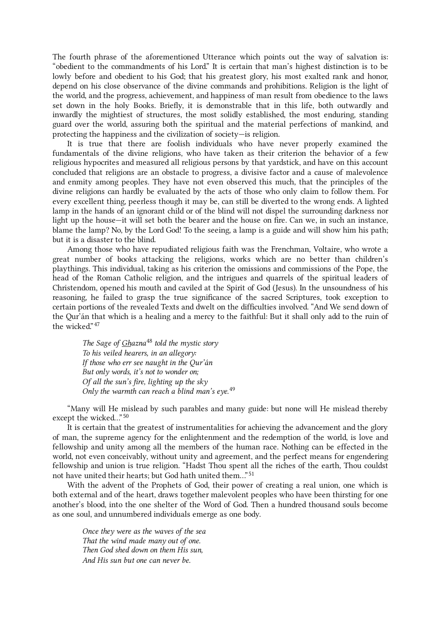The fourth phrase of the aforementioned Utterance which points out the way of salvation is: "obedient to the commandments of his Lord." It is certain that man's highest distinction is to be lowly before and obedient to his God; that his greatest glory, his most exalted rank and honor, depend on his close observance of the divine commands and prohibitions. Religion is the light of the world, and the progress, achievement, and happiness of man result from obedience to the laws set down in the holy Books. Briefly, it is demonstrable that in this life, both outwardly and inwardly the mightiest of structures, the most solidly established, the most enduring, standing guard over the world, assuring both the spiritual and the material perfections of mankind, and protecting the happiness and the civilization of society—is religion.

It is true that there are foolish individuals who have never properly examined the fundamentals of the divine religions, who have taken as their criterion the behavior of a few religious hypocrites and measured all religious persons by that yardstick, and have on this account concluded that religions are an obstacle to progress, a divisive factor and a cause of malevolence and enmity among peoples. They have not even observed this much, that the principles of the divine religions can hardly be evaluated by the acts of those who only claim to follow them. For every excellent thing, peerless though it may be, can still be diverted to the wrong ends. A lighted lamp in the hands of an ignorant child or of the blind will not dispel the surrounding darkness nor light up the house—it will set both the bearer and the house on fire. Can we, in such an instance, blame the lamp? No, by the Lord God! To the seeing, a lamp is a guide and will show him his path; but it is a disaster to the blind.

<span id="page-21-0"></span>Among those who have repudiated religious faith was the Frenchman, Voltaire, who wrote a great number of books attacking the religions, works which are no better than children's playthings. This individual, taking as his criterion the omissions and commissions of the Pope, the head of the Roman Catholic religion, and the intrigues and quarrels of the spiritual leaders of Christendom, opened his mouth and caviled at the Spirit of God (Jesus). In the unsoundness of his reasoning, he failed to grasp the true significance of the sacred Scriptures, took exception to certain portions of the revealed Texts and dwelt on the difficulties involved. "And We send down of the Qur'án that which is a healing and a mercy to the faithful: But it shall only add to the ruin of the wicked." [47](#page-36-16)

<span id="page-21-1"></span>The Sage of  $G$ hazna<sup>[48](#page-36-17)</sup> told the mystic story To his veiled hearers, in an allegory: If those who err see naught in the Qur'án But only words, it's not to wonder on; Of all the sun's fire, lighting up the sky Only the warmth can reach a blind man's eye. $49$ 

<span id="page-21-2"></span>"Many will He mislead by such parables and many guide: but none will He mislead thereby except the wicked…" [50](#page-36-19)

<span id="page-21-3"></span>It is certain that the greatest of instrumentalities for achieving the advancement and the glory of man, the supreme agency for the enlightenment and the redemption of the world, is love and fellowship and unity among all the members of the human race. Nothing can be effected in the world, not even conceivably, without unity and agreement, and the perfect means for engendering fellowship and union is true religion. "Hadst Thou spent all the riches of the earth, Thou couldst not have united their hearts; but God hath united them…" [51](#page-36-20)

With the advent of the Prophets of God, their power of creating a real union, one which is both external and of the heart, draws together malevolent peoples who have been thirsting for one another's blood, into the one shelter of the Word of God. Then a hundred thousand souls become as one soul, and unnumbered individuals emerge as one body.

<span id="page-21-4"></span>Once they were as the waves of the sea That the wind made many out of one. Then God shed down on them His sun, And His sun but one can never be.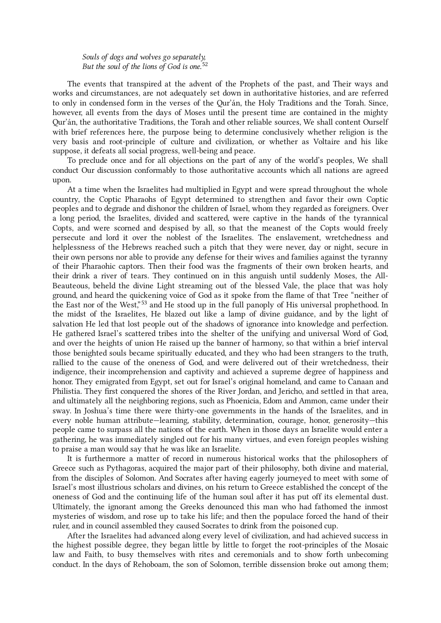Souls of dogs and wolves go separately, But the soul of the lions of God is one.<sup>[52](#page-36-21)</sup>

The events that transpired at the advent of the Prophets of the past, and Their ways and works and circumstances, are not adequately set down in authoritative histories, and are referred to only in condensed form in the verses of the Qur'án, the Holy Traditions and the Torah. Since, however, all events from the days of Moses until the present time are contained in the mighty Qur'án, the authoritative Traditions, the Torah and other reliable sources, We shall content Ourself with brief references here, the purpose being to determine conclusively whether religion is the very basis and root-principle of culture and civilization, or whether as Voltaire and his like suppose, it defeats all social progress, well-being and peace.

To preclude once and for all objections on the part of any of the world's peoples, We shall conduct Our discussion conformably to those authoritative accounts which all nations are agreed upon.

<span id="page-22-0"></span>At a time when the Israelites had multiplied in Egypt and were spread throughout the whole country, the Coptic Pharaohs of Egypt determined to strengthen and favor their own Coptic peoples and to degrade and dishonor the children of Israel, whom they regarded as foreigners. Over a long period, the Israelites, divided and scattered, were captive in the hands of the tyrannical Copts, and were scorned and despised by all, so that the meanest of the Copts would freely persecute and lord it over the noblest of the Israelites. The enslavement, wretchedness and helplessness of the Hebrews reached such a pitch that they were never, day or night, secure in their own persons nor able to provide any defense for their wives and families against the tyranny of their Pharaohic captors. Then their food was the fragments of their own broken hearts, and their drink a river of tears. They continued on in this anguish until suddenly Moses, the All-Beauteous, beheld the divine Light streaming out of the blessed Vale, the place that was holy ground, and heard the quickening voice of God as it spoke from the flame of that Tree "neither of the East nor of the West,"<sup>[53](#page-36-22)</sup> and He stood up in the full panoply of His universal prophethood. In the midst of the Israelites, He blazed out like a lamp of divine guidance, and by the light of salvation He led that lost people out of the shadows of ignorance into knowledge and perfection. He gathered Israel's scattered tribes into the shelter of the unifying and universal Word of God, and over the heights of union He raised up the banner of harmony, so that within a brief interval those benighted souls became spiritually educated, and they who had been strangers to the truth, rallied to the cause of the oneness of God, and were delivered out of their wretchedness, their indigence, their incomprehension and captivity and achieved a supreme degree of happiness and honor. They emigrated from Egypt, set out for Israel's original homeland, and came to Canaan and Philistia. They first conquered the shores of the River Jordan, and Jericho, and settled in that area, and ultimately all the neighboring regions, such as Phoenicia, Edom and Ammon, came under their sway. In Joshua's time there were thirty-one governments in the hands of the Israelites, and in every noble human attribute—learning, stability, determination, courage, honor, generosity—this people came to surpass all the nations of the earth. When in those days an Israelite would enter a gathering, he was immediately singled out for his many virtues, and even foreign peoples wishing to praise a man would say that he was like an Israelite.

It is furthermore a matter of record in numerous historical works that the philosophers of Greece such as Pythagoras, acquired the major part of their philosophy, both divine and material, from the disciples of Solomon. And Socrates after having eagerly journeyed to meet with some of Israel's most illustrious scholars and divines, on his return to Greece established the concept of the oneness of God and the continuing life of the human soul after it has put off its elemental dust. Ultimately, the ignorant among the Greeks denounced this man who had fathomed the inmost mysteries of wisdom, and rose up to take his life; and then the populace forced the hand of their ruler, and in council assembled they caused Socrates to drink from the poisoned cup.

<span id="page-22-1"></span>After the Israelites had advanced along every level of civilization, and had achieved success in the highest possible degree, they began little by little to forget the root-principles of the Mosaic law and Faith, to busy themselves with rites and ceremonials and to show forth unbecoming conduct. In the days of Rehoboam, the son of Solomon, terrible dissension broke out among them;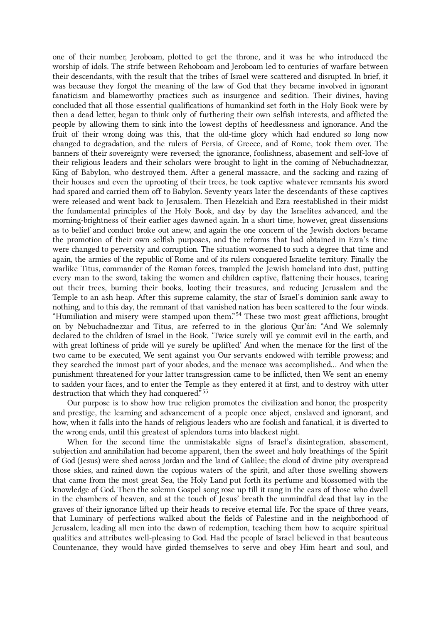one of their number, Jeroboam, plotted to get the throne, and it was he who introduced the worship of idols. The strife between Rehoboam and Jeroboam led to centuries of warfare between their descendants, with the result that the tribes of Israel were scattered and disrupted. In brief, it was because they forgot the meaning of the law of God that they became involved in ignorant fanaticism and blameworthy practices such as insurgence and sedition. Their divines, having concluded that all those essential qualifications of humankind set forth in the Holy Book were by then a dead letter, began to think only of furthering their own selfish interests, and afflicted the people by allowing them to sink into the lowest depths of heedlessness and ignorance. And the fruit of their wrong doing was this, that the old-time glory which had endured so long now changed to degradation, and the rulers of Persia, of Greece, and of Rome, took them over. The banners of their sovereignty were reversed; the ignorance, foolishness, abasement and self-love of their religious leaders and their scholars were brought to light in the coming of Nebuchadnezzar, King of Babylon, who destroyed them. After a general massacre, and the sacking and razing of their houses and even the uprooting of their trees, he took captive whatever remnants his sword had spared and carried them off to Babylon. Seventy years later the descendants of these captives were released and went back to Jerusalem. Then Hezekiah and Ezra reestablished in their midst the fundamental principles of the Holy Book, and day by day the Israelites advanced, and the morning-brightness of their earlier ages dawned again. In a short time, however, great dissensions as to belief and conduct broke out anew, and again the one concern of the Jewish doctors became the promotion of their own selfish purposes, and the reforms that had obtained in Ezra's time were changed to perversity and corruption. The situation worsened to such a degree that time and again, the armies of the republic of Rome and of its rulers conquered Israelite territory. Finally the warlike Titus, commander of the Roman forces, trampled the Jewish homeland into dust, putting every man to the sword, taking the women and children captive, flattening their houses, tearing out their trees, burning their books, looting their treasures, and reducing Jerusalem and the Temple to an ash heap. After this supreme calamity, the star of Israel's dominion sank away to nothing, and to this day, the remnant of that vanished nation has been scattered to the four winds. "Humiliation and misery were stamped upon them."<sup>[54](#page-36-23)</sup> These two most great afflictions, brought on by Nebuchadnezzar and Titus, are referred to in the glorious Qur'án: "And We solemnly declared to the children of Israel in the Book, 'Twice surely will ye commit evil in the earth, and with great loftiness of pride will ye surely be uplifted.' And when the menace for the first of the two came to be executed, We sent against you Our servants endowed with terrible prowess; and they searched the inmost part of your abodes, and the menace was accomplished… And when the punishment threatened for your latter transgression came to be inflicted, then We sent an enemy to sadden your faces, and to enter the Temple as they entered it at first, and to destroy with utter destruction that which they had conquered."<sup>[55](#page-36-24)</sup>

Our purpose is to show how true religion promotes the civilization and honor, the prosperity and prestige, the learning and advancement of a people once abject, enslaved and ignorant, and how, when it falls into the hands of religious leaders who are foolish and fanatical, it is diverted to the wrong ends, until this greatest of splendors turns into blackest night.

When for the second time the unmistakable signs of Israel's disintegration, abasement, subjection and annihilation had become apparent, then the sweet and holy breathings of the Spirit of God (Jesus) were shed across Jordan and the land of Galilee; the cloud of divine pity overspread those skies, and rained down the copious waters of the spirit, and after those swelling showers that came from the most great Sea, the Holy Land put forth its perfume and blossomed with the knowledge of God. Then the solemn Gospel song rose up till it rang in the ears of those who dwell in the chambers of heaven, and at the touch of Jesus' breath the unmindful dead that lay in the graves of their ignorance lifted up their heads to receive eternal life. For the space of three years, that Luminary of perfections walked about the fields of Palestine and in the neighborhood of Jerusalem, leading all men into the dawn of redemption, teaching them how to acquire spiritual qualities and attributes well-pleasing to God. Had the people of Israel believed in that beauteous Countenance, they would have girded themselves to serve and obey Him heart and soul, and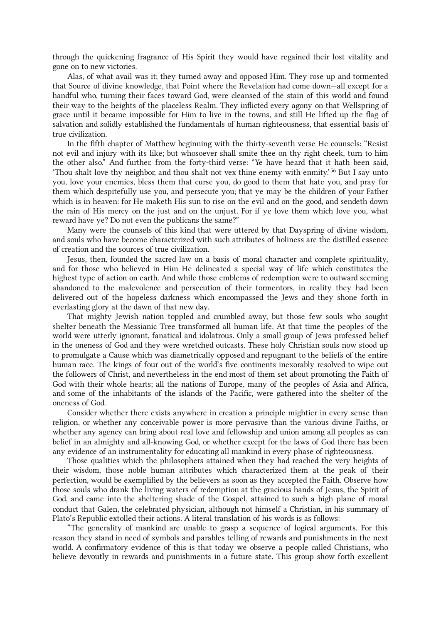through the quickening fragrance of His Spirit they would have regained their lost vitality and gone on to new victories.

Alas, of what avail was it; they turned away and opposed Him. They rose up and tormented that Source of divine knowledge, that Point where the Revelation had come down—all except for a handful who, turning their faces toward God, were cleansed of the stain of this world and found their way to the heights of the placeless Realm. They inflicted every agony on that Wellspring of grace until it became impossible for Him to live in the towns, and still He lifted up the flag of salvation and solidly established the fundamentals of human righteousness, that essential basis of true civilization.

<span id="page-24-0"></span>In the fifth chapter of Matthew beginning with the thirty-seventh verse He counsels: "Resist not evil and injury with its like; but whosoever shall smite thee on thy right cheek, turn to him the other also." And further, from the forty-third verse: "Ye have heard that it hath been said, Thou shalt love thy neighbor, and thou shalt not vex thine enemy with enmity.<sup>[56](#page-36-25)</sup> But I say unto you, love your enemies, bless them that curse you, do good to them that hate you, and pray for them which despitefully use you, and persecute you; that ye may be the children of your Father which is in heaven: for He maketh His sun to rise on the evil and on the good, and sendeth down the rain of His mercy on the just and on the unjust. For if ye love them which love you, what reward have ye? Do not even the publicans the same?"

Many were the counsels of this kind that were uttered by that Dayspring of divine wisdom, and souls who have become characterized with such attributes of holiness are the distilled essence of creation and the sources of true civilization.

Jesus, then, founded the sacred law on a basis of moral character and complete spirituality, and for those who believed in Him He delineated a special way of life which constitutes the highest type of action on earth. And while those emblems of redemption were to outward seeming abandoned to the malevolence and persecution of their tormentors, in reality they had been delivered out of the hopeless darkness which encompassed the Jews and they shone forth in everlasting glory at the dawn of that new day.

That mighty Jewish nation toppled and crumbled away, but those few souls who sought shelter beneath the Messianic Tree transformed all human life. At that time the peoples of the world were utterly ignorant, fanatical and idolatrous. Only a small group of Jews professed belief in the oneness of God and they were wretched outcasts. These holy Christian souls now stood up to promulgate a Cause which was diametrically opposed and repugnant to the beliefs of the entire human race. The kings of four out of the world's five continents inexorably resolved to wipe out the followers of Christ, and nevertheless in the end most of them set about promoting the Faith of God with their whole hearts; all the nations of Europe, many of the peoples of Asia and Africa, and some of the inhabitants of the islands of the Pacific, were gathered into the shelter of the oneness of God.

Consider whether there exists anywhere in creation a principle mightier in every sense than religion, or whether any conceivable power is more pervasive than the various divine Faiths, or whether any agency can bring about real love and fellowship and union among all peoples as can belief in an almighty and all-knowing God, or whether except for the laws of God there has been any evidence of an instrumentality for educating all mankind in every phase of righteousness.

Those qualities which the philosophers attained when they had reached the very heights of their wisdom, those noble human attributes which characterized them at the peak of their perfection, would be exemplified by the believers as soon as they accepted the Faith. Observe how those souls who drank the living waters of redemption at the gracious hands of Jesus, the Spirit of God, and came into the sheltering shade of the Gospel, attained to such a high plane of moral conduct that Galen, the celebrated physician, although not himself a Christian, in his summary of Plato's Republic extolled their actions. A literal translation of his words is as follows:

<span id="page-24-1"></span>"The generality of mankind are unable to grasp a sequence of logical arguments. For this reason they stand in need of symbols and parables telling of rewards and punishments in the next world. A confirmatory evidence of this is that today we observe a people called Christians, who believe devoutly in rewards and punishments in a future state. This group show forth excellent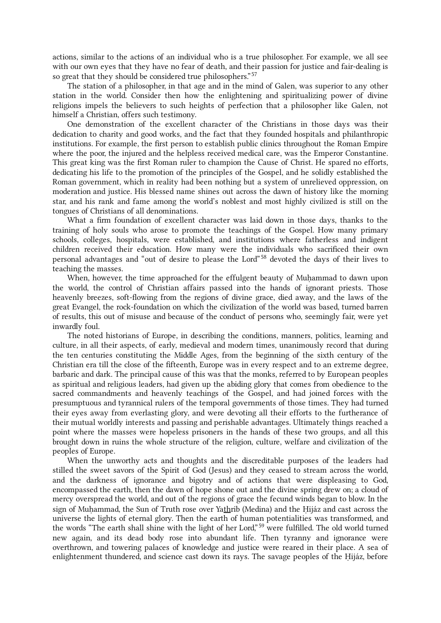actions, similar to the actions of an individual who is a true philosopher. For example, we all see with our own eyes that they have no fear of death, and their passion for justice and fair-dealing is so great that they should be considered true philosophers."<sup>[57](#page-36-26)</sup>

The station of a philosopher, in that age and in the mind of Galen, was superior to any other station in the world. Consider then how the enlightening and spiritualizing power of divine religions impels the believers to such heights of perfection that a philosopher like Galen, not himself a Christian, offers such testimony.

One demonstration of the excellent character of the Christians in those days was their dedication to charity and good works, and the fact that they founded hospitals and philanthropic institutions. For example, the first person to establish public clinics throughout the Roman Empire where the poor, the injured and the helpless received medical care, was the Emperor Constantine. This great king was the first Roman ruler to champion the Cause of Christ. He spared no efforts, dedicating his life to the promotion of the principles of the Gospel, and he solidly established the Roman government, which in reality had been nothing but a system of unrelieved oppression, on moderation and justice. His blessed name shines out across the dawn of history like the morning star, and his rank and fame among the world's noblest and most highly civilized is still on the tongues of Christians of all denominations.

<span id="page-25-0"></span>What a firm foundation of excellent character was laid down in those days, thanks to the training of holy souls who arose to promote the teachings of the Gospel. How many primary schools, colleges, hospitals, were established, and institutions where fatherless and indigent children received their education. How many were the individuals who sacrificed their own personal advantages and "out of desire to please the Lord" [58](#page-36-27) devoted the days of their lives to teaching the masses.

When, however, the time approached for the effulgent beauty of Muhammad to dawn upon the world, the control of Christian affairs passed into the hands of ignorant priests. Those heavenly breezes, soft-flowing from the regions of divine grace, died away, and the laws of the great Evangel, the rock-foundation on which the civilization of the world was based, turned barren of results, this out of misuse and because of the conduct of persons who, seemingly fair, were yet inwardly foul.

The noted historians of Europe, in describing the conditions, manners, politics, learning and culture, in all their aspects, of early, medieval and modern times, unanimously record that during the ten centuries constituting the Middle Ages, from the beginning of the sixth century of the Christian era till the close of the fifteenth, Europe was in every respect and to an extreme degree, barbaric and dark. The principal cause of this was that the monks, referred to by European peoples as spiritual and religious leaders, had given up the abiding glory that comes from obedience to the sacred commandments and heavenly teachings of the Gospel, and had joined forces with the presumptuous and tyrannical rulers of the temporal governments of those times. They had turned their eyes away from everlasting glory, and were devoting all their efforts to the furtherance of their mutual worldly interests and passing and perishable advantages. Ultimately things reached a point where the masses were hopeless prisoners in the hands of these two groups, and all this brought down in ruins the whole structure of the religion, culture, welfare and civilization of the peoples of Europe.

<span id="page-25-1"></span>When the unworthy acts and thoughts and the discreditable purposes of the leaders had stilled the sweet savors of the Spirit of God (Jesus) and they ceased to stream across the world, and the darkness of ignorance and bigotry and of actions that were displeasing to God, encompassed the earth, then the dawn of hope shone out and the divine spring drew on; a cloud of mercy overspread the world, and out of the regions of grace the fecund winds began to blow. In the sign of Muhammad, the Sun of Truth rose over Yathrib (Medina) and the Hijáz and cast across the universe the lights of eternal glory. Then the earth of human potentialities was transformed, and the words "The earth shall shine with the light of her Lord,"<sup>[59](#page-36-28)</sup> were fulfilled. The old world turned new again, and its dead body rose into abundant life. Then tyranny and ignorance were overthrown, and towering palaces of knowledge and justice were reared in their place. A sea of enlightenment thundered, and science cast down its rays. The savage peoples of the Ḥijáz, before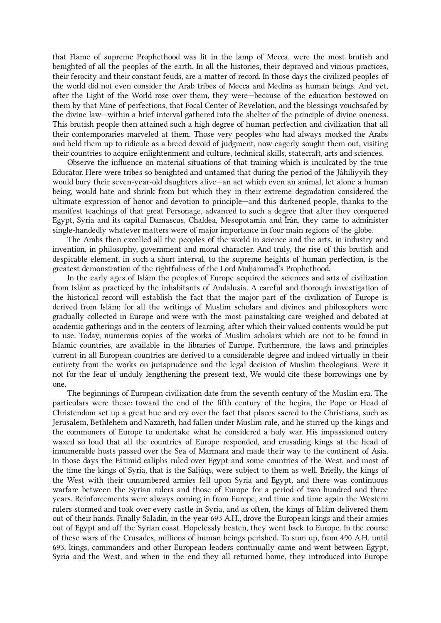that Flame of supreme Prophethood was lit in the lamp of Mecca, were the most brutish and benighted of all the peoples of the earth. In all the histories, their depraved and vicious practices, their ferocity and their constant feuds, are a matter of record. In those days the civilized peoples of the world did not even consider the Arab tribes of Mecca and Medina as human beings. And yet, after the Light of the World rose over them, they were—because of the education bestowed on them by that Mine of perfections, that Focal Center of Revelation, and the blessings vouchsafed by the divine law—within a brief interval gathered into the shelter of the principle of divine oneness. This brutish people then attained such a high degree of human perfection and civilization that all their contemporaries marveled at them. Those very peoples who had always mocked the Arabs and held them up to ridicule as a breed devoid of judgment, now eagerly sought them out, visiting their countries to acquire enlightenment and culture, technical skills, statecraft, arts and sciences.

Observe the influence on material situations of that training which is inculcated by the true Educator. Here were tribes so benighted and untamed that during the period of the Jáhilíyyih they would bury their seven-year-old daughters alive—an act which even an animal, let alone a human being, would hate and shrink from but which they in their extreme degradation considered the ultimate expression of honor and devotion to principle—and this darkened people, thanks to the manifest teachings of that great Personage, advanced to such a degree that after they conquered Egypt, Syria and its capital Damascus, Chaldea, Mesopotamia and Írán, they came to administer single-handedly whatever matters were of major importance in four main regions of the globe.

The Arabs then excelled all the peoples of the world in science and the arts, in industry and invention, in philosophy, government and moral character. And truly, the rise of this brutish and despicable element, in such a short interval, to the supreme heights of human perfection, is the greatest demonstration of the rightfulness of the Lord Muḥammad's Prophethood.

In the early ages of Islám the peoples of Europe acquired the sciences and arts of civilization from Islám as practiced by the inhabitants of Andalusia. A careful and thorough investigation of the historical record will establish the fact that the major part of the civilization of Europe is derived from Islám; for all the writings of Muslim scholars and divines and philosophers were gradually collected in Europe and were with the most painstaking care weighed and debated at academic gatherings and in the centers of learning, after which their valued contents would be put to use. Today, numerous copies of the works of Muslim scholars which are not to be found in Islamic countries, are available in the libraries of Europe. Furthermore, the laws and principles current in all European countries are derived to a considerable degree and indeed virtually in their entirety from the works on jurisprudence and the legal decision of Muslim theologians. Were it not for the fear of unduly lengthening the present text, We would cite these borrowings one by one.

The beginnings of European civilization date from the seventh century of the Muslim era. The particulars were these: toward the end of the fifth century of the hegira, the Pope or Head of Christendom set up a great hue and cry over the fact that places sacred to the Christians, such as Jerusalem, Bethlehem and Nazareth, had fallen under Muslim rule, and he stirred up the kings and the commoners of Europe to undertake what he considered a holy war. His impassioned outcry waxed so loud that all the countries of Europe responded, and crusading kings at the head of innumerable hosts passed over the Sea of Marmara and made their way to the continent of Asia. In those days the Fátimid caliphs ruled over Egypt and some countries of the West, and most of the time the kings of Syria, that is the Saljúqs, were subject to them as well. Briefly, the kings of the West with their unnumbered armies fell upon Syria and Egypt, and there was continuous warfare between the Syrian rulers and those of Europe for a period of two hundred and three years. Reinforcements were always coming in from Europe, and time and time again the Western rulers stormed and took over every castle in Syria, and as often, the kings of Islám delivered them out of their hands. Finally Saladin, in the year 693 A.H., drove the European kings and their armies out of Egypt and off the Syrian coast. Hopelessly beaten, they went back to Europe. In the course of these wars of the Crusades, millions of human beings perished. To sum up, from 490 A.H. until 693, kings, commanders and other European leaders continually came and went between Egypt, Syria and the West, and when in the end they all returned home, they introduced into Europe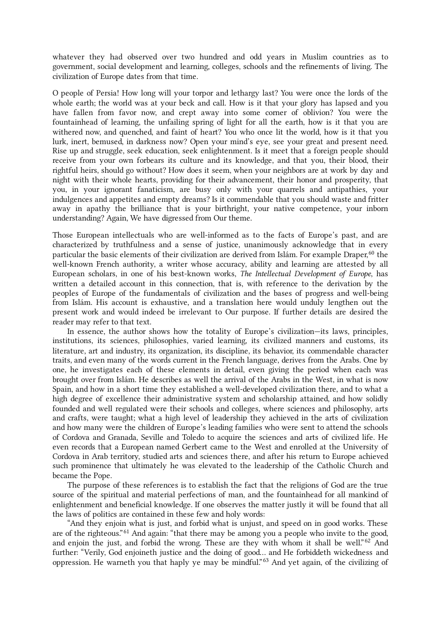whatever they had observed over two hundred and odd years in Muslim countries as to government, social development and learning, colleges, schools and the refinements of living. The civilization of Europe dates from that time.

O people of Persia! How long will your torpor and lethargy last? You were once the lords of the whole earth; the world was at your beck and call. How is it that your glory has lapsed and you have fallen from favor now, and crept away into some corner of oblivion? You were the fountainhead of learning, the unfailing spring of light for all the earth, how is it that you are withered now, and quenched, and faint of heart? You who once lit the world, how is it that you lurk, inert, bemused, in darkness now? Open your mind's eye, see your great and present need. Rise up and struggle, seek education, seek enlightenment. Is it meet that a foreign people should receive from your own forbears its culture and its knowledge, and that you, their blood, their rightful heirs, should go without? How does it seem, when your neighbors are at work by day and night with their whole hearts, providing for their advancement, their honor and prosperity, that you, in your ignorant fanaticism, are busy only with your quarrels and antipathies, your indulgences and appetites and empty dreams? Is it commendable that you should waste and fritter away in apathy the brilliance that is your birthright, your native competence, your inborn understanding? Again, We have digressed from Our theme.

<span id="page-27-0"></span>Those European intellectuals who are well-informed as to the facts of Europe's past, and are characterized by truthfulness and a sense of justice, unanimously acknowledge that in every particular the basic elements of their civilization are derived from Islám. For example Draper,<sup>[60](#page-36-29)</sup> the well-known French authority, a writer whose accuracy, ability and learning are attested by all European scholars, in one of his best-known works, The Intellectual Development of Europe, has written a detailed account in this connection, that is, with reference to the derivation by the peoples of Europe of the fundamentals of civilization and the bases of progress and well-being from Islám. His account is exhaustive, and a translation here would unduly lengthen out the present work and would indeed be irrelevant to Our purpose. If further details are desired the reader may refer to that text.

In essence, the author shows how the totality of Europe's civilization—its laws, principles, institutions, its sciences, philosophies, varied learning, its civilized manners and customs, its literature, art and industry, its organization, its discipline, its behavior, its commendable character traits, and even many of the words current in the French language, derives from the Arabs. One by one, he investigates each of these elements in detail, even giving the period when each was brought over from Islám. He describes as well the arrival of the Arabs in the West, in what is now Spain, and how in a short time they established a well-developed civilization there, and to what a high degree of excellence their administrative system and scholarship attained, and how solidly founded and well regulated were their schools and colleges, where sciences and philosophy, arts and crafts, were taught; what a high level of leadership they achieved in the arts of civilization and how many were the children of Europe's leading families who were sent to attend the schools of Cordova and Granada, Seville and Toledo to acquire the sciences and arts of civilized life. He even records that a European named Gerbert came to the West and enrolled at the University of Cordova in Arab territory, studied arts and sciences there, and after his return to Europe achieved such prominence that ultimately he was elevated to the leadership of the Catholic Church and became the Pope.

The purpose of these references is to establish the fact that the religions of God are the true source of the spiritual and material perfections of man, and the fountainhead for all mankind of enlightenment and beneficial knowledge. If one observes the matter justly it will be found that all the laws of politics are contained in these few and holy words:

<span id="page-27-1"></span>"And they enjoin what is just, and forbid what is unjust, and speed on in good works. These are of the righteous."<sup>[61](#page-37-0)</sup> And again: "that there may be among you a people who invite to the good, and enjoin the just, and forbid the wrong. These are they with whom it shall be well."<sup>[62](#page-37-1)</sup> And further: "Verily, God enjoineth justice and the doing of good… and He forbiddeth wickedness and oppression. He warneth you that haply ye may be mindful."<sup>[63](#page-37-2)</sup> And yet again, of the civilizing of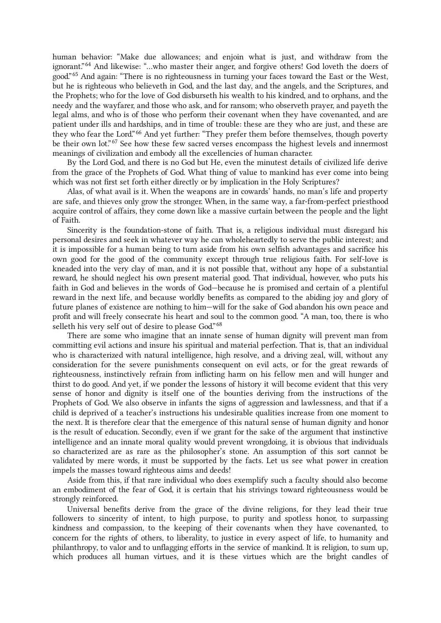human behavior: "Make due allowances; and enjoin what is just, and withdraw from the ignorant."<sup>[64](#page-37-3)</sup> And likewise: "...who master their anger, and forgive others! God loveth the doers of good."<sup>[65](#page-37-4)</sup> And again: "There is no righteousness in turning your faces toward the East or the West, but he is righteous who believeth in God, and the last day, and the angels, and the Scriptures, and the Prophets; who for the love of God disburseth his wealth to his kindred, and to orphans, and the needy and the wayfarer, and those who ask, and for ransom; who observeth prayer, and payeth the legal alms, and who is of those who perform their covenant when they have covenanted, and are patient under ills and hardships, and in time of trouble: these are they who are just, and these are they who fear the Lord."<sup>[66](#page-37-5)</sup> And yet further: "They prefer them before themselves, though poverty be their own lot."<sup>[67](#page-37-6)</sup> See how these few sacred verses encompass the highest levels and innermost meanings of civilization and embody all the excellencies of human character.

By the Lord God, and there is no God but He, even the minutest details of civilized life derive from the grace of the Prophets of God. What thing of value to mankind has ever come into being which was not first set forth either directly or by implication in the Holy Scriptures?

Alas, of what avail is it. When the weapons are in cowards' hands, no man's life and property are safe, and thieves only grow the stronger. When, in the same way, a far-from-perfect priesthood acquire control of affairs, they come down like a massive curtain between the people and the light of Faith.

<span id="page-28-0"></span>Sincerity is the foundation-stone of faith. That is, a religious individual must disregard his personal desires and seek in whatever way he can wholeheartedly to serve the public interest; and it is impossible for a human being to turn aside from his own selfish advantages and sacrifice his own good for the good of the community except through true religious faith. For self-love is kneaded into the very clay of man, and it is not possible that, without any hope of a substantial reward, he should neglect his own present material good. That individual, however, who puts his faith in God and believes in the words of God—because he is promised and certain of a plentiful reward in the next life, and because worldly benefits as compared to the abiding joy and glory of future planes of existence are nothing to him—will for the sake of God abandon his own peace and profit and will freely consecrate his heart and soul to the common good. "A man, too, there is who selleth his very self out of desire to please God."<sup>[68](#page-37-7)</sup>

There are some who imagine that an innate sense of human dignity will prevent man from committing evil actions and insure his spiritual and material perfection. That is, that an individual who is characterized with natural intelligence, high resolve, and a driving zeal, will, without any consideration for the severe punishments consequent on evil acts, or for the great rewards of righteousness, instinctively refrain from inflicting harm on his fellow men and will hunger and thirst to do good. And yet, if we ponder the lessons of history it will become evident that this very sense of honor and dignity is itself one of the bounties deriving from the instructions of the Prophets of God. We also observe in infants the signs of aggression and lawlessness, and that if a child is deprived of a teacher's instructions his undesirable qualities increase from one moment to the next. It is therefore clear that the emergence of this natural sense of human dignity and honor is the result of education. Secondly, even if we grant for the sake of the argument that instinctive intelligence and an innate moral quality would prevent wrongdoing, it is obvious that individuals so characterized are as rare as the philosopher's stone. An assumption of this sort cannot be validated by mere words, it must be supported by the facts. Let us see what power in creation impels the masses toward righteous aims and deeds!

Aside from this, if that rare individual who does exemplify such a faculty should also become an embodiment of the fear of God, it is certain that his strivings toward righteousness would be strongly reinforced.

Universal benefits derive from the grace of the divine religions, for they lead their true followers to sincerity of intent, to high purpose, to purity and spotless honor, to surpassing kindness and compassion, to the keeping of their covenants when they have covenanted, to concern for the rights of others, to liberality, to justice in every aspect of life, to humanity and philanthropy, to valor and to unflagging efforts in the service of mankind. It is religion, to sum up, which produces all human virtues, and it is these virtues which are the bright candles of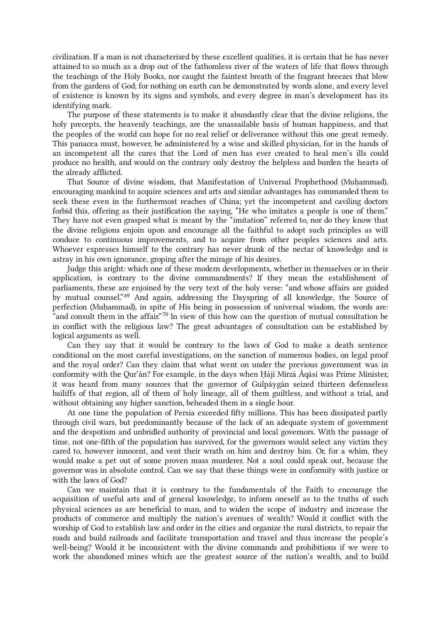civilization. If a man is not characterized by these excellent qualities, it is certain that he has never attained to so much as a drop out of the fathomless river of the waters of life that flows through the teachings of the Holy Books, nor caught the faintest breath of the fragrant breezes that blow from the gardens of God; for nothing on earth can be demonstrated by words alone, and every level of existence is known by its signs and symbols, and every degree in man's development has its identifying mark.

The purpose of these statements is to make it abundantly clear that the divine religions, the holy precepts, the heavenly teachings, are the unassailable basis of human happiness, and that the peoples of the world can hope for no real relief or deliverance without this one great remedy. This panacea must, however, be administered by a wise and skilled physician, for in the hands of an incompetent all the cures that the Lord of men has ever created to heal men's ills could produce no health, and would on the contrary only destroy the helpless and burden the hearts of the already afflicted.

That Source of divine wisdom, that Manifestation of Universal Prophethood (Muḥammad), encouraging mankind to acquire sciences and arts and similar advantages has commanded them to seek these even in the furthermost reaches of China; yet the incompetent and caviling doctors forbid this, offering as their justification the saying, "He who imitates a people is one of them." They have not even grasped what is meant by the "imitation" referred to, nor do they know that the divine religions enjoin upon and encourage all the faithful to adopt such principles as will conduce to continuous improvements, and to acquire from other peoples sciences and arts. Whoever expresses himself to the contrary has never drunk of the nectar of knowledge and is astray in his own ignorance, groping after the mirage of his desires.

<span id="page-29-0"></span>Judge this aright: which one of these modern developments, whether in themselves or in their application, is contrary to the divine commandments? If they mean the establishment of parliaments, these are enjoined by the very text of the holy verse: "and whose affairs are guided by mutual counsel."<sup>[69](#page-37-8)</sup> And again, addressing the Dayspring of all knowledge, the Source of perfection (Muhammad), in spite of His being in possession of universal wisdom, the words are: "and consult them in the affair."<sup>[70](#page-37-9)</sup> In view of this how can the question of mutual consultation be in conflict with the religious law? The great advantages of consultation can be established by logical arguments as well.

Can they say that it would be contrary to the laws of God to make a death sentence conditional on the most careful investigations, on the sanction of numerous bodies, on legal proof and the royal order? Can they claim that what went on under the previous government was in conformity with the Qur'án? For example, in the days when Ḥájí Mírzá Áqásí was Prime Minister, it was heard from many sources that the governor of Gulpáygán seized thirteen defenseless bailiffs of that region, all of them of holy lineage, all of them guiltless, and without a trial, and without obtaining any higher sanction, beheaded them in a single hour.

At one time the population of Persia exceeded fifty millions. This has been dissipated partly through civil wars, but predominantly because of the lack of an adequate system of government and the despotism and unbridled authority of provincial and local governors. With the passage of time, not one-fifth of the population has survived, for the governors would select any victim they cared to, however innocent, and vent their wrath on him and destroy him. Or, for a whim, they would make a pet out of some proven mass murderer. Not a soul could speak out, because the governor was in absolute control. Can we say that these things were in conformity with justice or with the laws of God?

Can we maintain that it is contrary to the fundamentals of the Faith to encourage the acquisition of useful arts and of general knowledge, to inform oneself as to the truths of such physical sciences as are beneficial to man, and to widen the scope of industry and increase the products of commerce and multiply the nation's avenues of wealth? Would it conflict with the worship of God to establish law and order in the cities and organize the rural districts, to repair the roads and build railroads and facilitate transportation and travel and thus increase the people's well-being? Would it be inconsistent with the divine commands and prohibitions if we were to work the abandoned mines which are the greatest source of the nation's wealth, and to build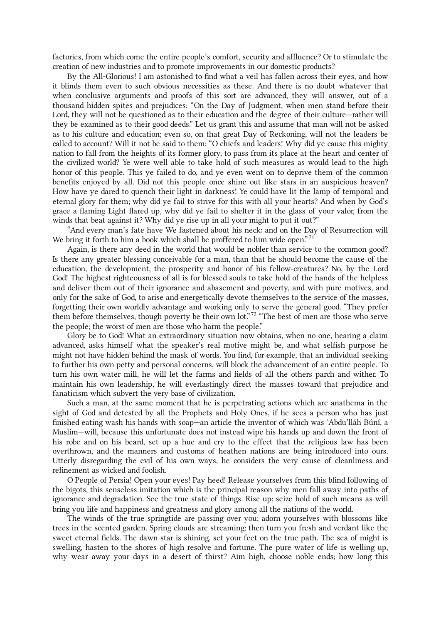factories, from which come the entire people's comfort, security and affluence? Or to stimulate the creation of new industries and to promote improvements in our domestic products?

By the All-Glorious! I am astonished to find what a veil has fallen across their eyes, and how it blinds them even to such obvious necessities as these. And there is no doubt whatever that when conclusive arguments and proofs of this sort are advanced, they will answer, out of a thousand hidden spites and prejudices: "On the Day of Judgment, when men stand before their Lord, they will not be questioned as to their education and the degree of their culture—rather will they be examined as to their good deeds." Let us grant this and assume that man will not be asked as to his culture and education; even so, on that great Day of Reckoning, will not the leaders be called to account? Will it not be said to them: "O chiefs and leaders! Why did ye cause this mighty nation to fall from the heights of its former glory, to pass from its place at the heart and center of the civilized world? Ye were well able to take hold of such measures as would lead to the high honor of this people. This ye failed to do, and ye even went on to deprive them of the common benefits enjoyed by all. Did not this people once shine out like stars in an auspicious heaven? How have ye dared to quench their light in darkness! Ye could have lit the lamp of temporal and eternal glory for them; why did ye fail to strive for this with all your hearts? And when by God's grace a flaming Light flared up, why did ye fail to shelter it in the glass of your valor, from the winds that beat against it? Why did ye rise up in all your might to put it out?"

<span id="page-30-0"></span>"And every man's fate have We fastened about his neck: and on the Day of Resurrection will We bring it forth to him a book which shall be proffered to him wide open."<sup>[71](#page-37-10)</sup>

<span id="page-30-1"></span>Again, is there any deed in the world that would be nobler than service to the common good? Is there any greater blessing conceivable for a man, than that he should become the cause of the education, the development, the prosperity and honor of his fellow-creatures? No, by the Lord God! The highest righteousness of all is for blessed souls to take hold of the hands of the helpless and deliver them out of their ignorance and abasement and poverty, and with pure motives, and only for the sake of God, to arise and energetically devote themselves to the service of the masses, forgetting their own worldly advantage and working only to serve the general good. "They prefer them before themselves, though poverty be their own lot."<sup>[72](#page-37-11)</sup> "The best of men are those who serve the people; the worst of men are those who harm the people."

Glory be to God! What an extraordinary situation now obtains, when no one, hearing a claim advanced, asks himself what the speaker's real motive might be, and what selfish purpose he might not have hidden behind the mask of words. You find, for example, that an individual seeking to further his own petty and personal concerns, will block the advancement of an entire people. To turn his own water mill, he will let the farms and fields of all the others parch and wither. To maintain his own leadership, he will everlastingly direct the masses toward that prejudice and fanaticism which subvert the very base of civilization.

Such a man, at the same moment that he is perpetrating actions which are anathema in the sight of God and detested by all the Prophets and Holy Ones, if he sees a person who has just finished eating wash his hands with soap—an article the inventor of which was 'Abdu'lláh Búní, a Muslim—will, because this unfortunate does not instead wipe his hands up and down the front of his robe and on his beard, set up a hue and cry to the effect that the religious law has been overthrown, and the manners and customs of heathen nations are being introduced into ours. Utterly disregarding the evil of his own ways, he considers the very cause of cleanliness and refinement as wicked and foolish.

O People of Persia! Open your eyes! Pay heed! Release yourselves from this blind following of the bigots, this senseless imitation which is the principal reason why men fall away into paths of ignorance and degradation. See the true state of things. Rise up; seize hold of such means as will bring you life and happiness and greatness and glory among all the nations of the world.

The winds of the true springtide are passing over you; adorn yourselves with blossoms like trees in the scented garden. Spring clouds are streaming; then turn you fresh and verdant like the sweet eternal fields. The dawn star is shining, set your feet on the true path. The sea of might is swelling, hasten to the shores of high resolve and fortune. The pure water of life is welling up, why wear away your days in a desert of thirst? Aim high, choose noble ends; how long this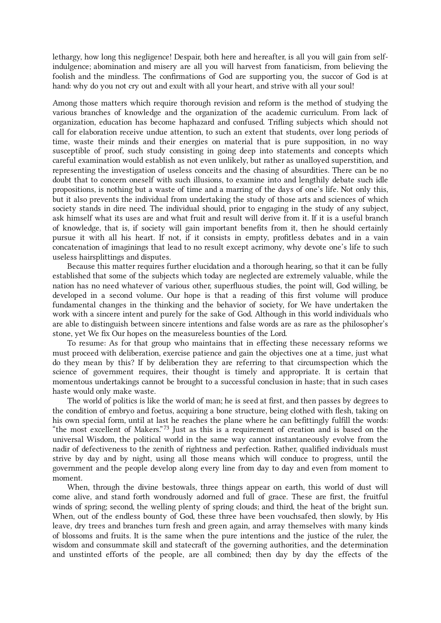lethargy, how long this negligence! Despair, both here and hereafter, is all you will gain from selfindulgence; abomination and misery are all you will harvest from fanaticism, from believing the foolish and the mindless. The confirmations of God are supporting you, the succor of God is at hand: why do you not cry out and exult with all your heart, and strive with all your soul!

Among those matters which require thorough revision and reform is the method of studying the various branches of knowledge and the organization of the academic curriculum. From lack of organization, education has become haphazard and confused. Trifling subjects which should not call for elaboration receive undue attention, to such an extent that students, over long periods of time, waste their minds and their energies on material that is pure supposition, in no way susceptible of proof, such study consisting in going deep into statements and concepts which careful examination would establish as not even unlikely, but rather as unalloyed superstition, and representing the investigation of useless conceits and the chasing of absurdities. There can be no doubt that to concern oneself with such illusions, to examine into and lengthily debate such idle propositions, is nothing but a waste of time and a marring of the days of one's life. Not only this, but it also prevents the individual from undertaking the study of those arts and sciences of which society stands in dire need. The individual should, prior to engaging in the study of any subject, ask himself what its uses are and what fruit and result will derive from it. If it is a useful branch of knowledge, that is, if society will gain important benefits from it, then he should certainly pursue it with all his heart. If not, if it consists in empty, profitless debates and in a vain concatenation of imaginings that lead to no result except acrimony, why devote one's life to such useless hairsplittings and disputes.

Because this matter requires further elucidation and a thorough hearing, so that it can be fully established that some of the subjects which today are neglected are extremely valuable, while the nation has no need whatever of various other, superfluous studies, the point will, God willing, be developed in a second volume. Our hope is that a reading of this first volume will produce fundamental changes in the thinking and the behavior of society, for We have undertaken the work with a sincere intent and purely for the sake of God. Although in this world individuals who are able to distinguish between sincere intentions and false words are as rare as the philosopher's stone, yet We fix Our hopes on the measureless bounties of the Lord.

To resume: As for that group who maintains that in effecting these necessary reforms we must proceed with deliberation, exercise patience and gain the objectives one at a time, just what do they mean by this? If by deliberation they are referring to that circumspection which the science of government requires, their thought is timely and appropriate. It is certain that momentous undertakings cannot be brought to a successful conclusion in haste; that in such cases haste would only make waste.

<span id="page-31-0"></span>The world of politics is like the world of man; he is seed at first, and then passes by degrees to the condition of embryo and foetus, acquiring a bone structure, being clothed with flesh, taking on his own special form, until at last he reaches the plane where he can befittingly fulfill the words: "the most excellent of Makers." [73](#page-37-12) Just as this is a requirement of creation and is based on the universal Wisdom, the political world in the same way cannot instantaneously evolve from the nadir of defectiveness to the zenith of rightness and perfection. Rather, qualified individuals must strive by day and by night, using all those means which will conduce to progress, until the government and the people develop along every line from day to day and even from moment to moment.

When, through the divine bestowals, three things appear on earth, this world of dust will come alive, and stand forth wondrously adorned and full of grace. These are first, the fruitful winds of spring; second, the welling plenty of spring clouds; and third, the heat of the bright sun. When, out of the endless bounty of God, these three have been vouchsafed, then slowly, by His leave, dry trees and branches turn fresh and green again, and array themselves with many kinds of blossoms and fruits. It is the same when the pure intentions and the justice of the ruler, the wisdom and consummate skill and statecraft of the governing authorities, and the determination and unstinted efforts of the people, are all combined; then day by day the effects of the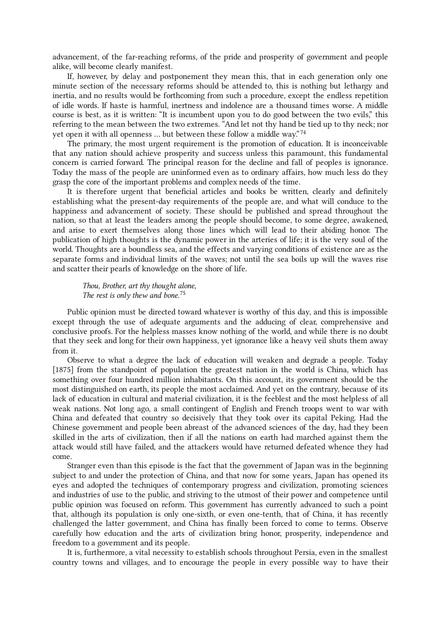advancement, of the far-reaching reforms, of the pride and prosperity of government and people alike, will become clearly manifest.

<span id="page-32-0"></span>If, however, by delay and postponement they mean this, that in each generation only one minute section of the necessary reforms should be attended to, this is nothing but lethargy and inertia, and no results would be forthcoming from such a procedure, except the endless repetition of idle words. If haste is harmful, inertness and indolence are a thousand times worse. A middle course is best, as it is written: "It is incumbent upon you to do good between the two evils," this referring to the mean between the two extremes. "And let not thy hand be tied up to thy neck; nor yet open it with all openness ... but between these follow a middle way." $^{74}$  $^{74}$  $^{74}$ 

The primary, the most urgent requirement is the promotion of education. It is inconceivable that any nation should achieve prosperity and success unless this paramount, this fundamental concern is carried forward. The principal reason for the decline and fall of peoples is ignorance. Today the mass of the people are uninformed even as to ordinary affairs, how much less do they grasp the core of the important problems and complex needs of the time.

It is therefore urgent that beneficial articles and books be written, clearly and definitely establishing what the present-day requirements of the people are, and what will conduce to the happiness and advancement of society. These should be published and spread throughout the nation, so that at least the leaders among the people should become, to some degree, awakened, and arise to exert themselves along those lines which will lead to their abiding honor. The publication of high thoughts is the dynamic power in the arteries of life; it is the very soul of the world. Thoughts are a boundless sea, and the effects and varying conditions of existence are as the separate forms and individual limits of the waves; not until the sea boils up will the waves rise and scatter their pearls of knowledge on the shore of life.

## Thou, Brother, art thy thought alone, The rest is only thew and bone.<sup>[75](#page-37-14)</sup>

<span id="page-32-1"></span>Public opinion must be directed toward whatever is worthy of this day, and this is impossible except through the use of adequate arguments and the adducing of clear, comprehensive and conclusive proofs. For the helpless masses know nothing of the world, and while there is no doubt that they seek and long for their own happiness, yet ignorance like a heavy veil shuts them away from it.

Observe to what a degree the lack of education will weaken and degrade a people. Today [1875] from the standpoint of population the greatest nation in the world is China, which has something over four hundred million inhabitants. On this account, its government should be the most distinguished on earth, its people the most acclaimed. And yet on the contrary, because of its lack of education in cultural and material civilization, it is the feeblest and the most helpless of all weak nations. Not long ago, a small contingent of English and French troops went to war with China and defeated that country so decisively that they took over its capital Peking. Had the Chinese government and people been abreast of the advanced sciences of the day, had they been skilled in the arts of civilization, then if all the nations on earth had marched against them the attack would still have failed, and the attackers would have returned defeated whence they had come.

Stranger even than this episode is the fact that the government of Japan was in the beginning subject to and under the protection of China, and that now for some years, Japan has opened its eyes and adopted the techniques of contemporary progress and civilization, promoting sciences and industries of use to the public, and striving to the utmost of their power and competence until public opinion was focused on reform. This government has currently advanced to such a point that, although its population is only one-sixth, or even one-tenth, that of China, it has recently challenged the latter government, and China has finally been forced to come to terms. Observe carefully how education and the arts of civilization bring honor, prosperity, independence and freedom to a government and its people.

It is, furthermore, a vital necessity to establish schools throughout Persia, even in the smallest country towns and villages, and to encourage the people in every possible way to have their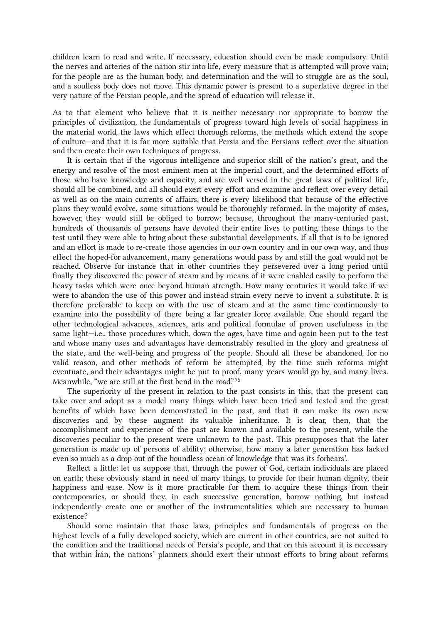children learn to read and write. If necessary, education should even be made compulsory. Until the nerves and arteries of the nation stir into life, every measure that is attempted will prove vain; for the people are as the human body, and determination and the will to struggle are as the soul, and a soulless body does not move. This dynamic power is present to a superlative degree in the very nature of the Persian people, and the spread of education will release it.

As to that element who believe that it is neither necessary nor appropriate to borrow the principles of civilization, the fundamentals of progress toward high levels of social happiness in the material world, the laws which effect thorough reforms, the methods which extend the scope of culture—and that it is far more suitable that Persia and the Persians reflect over the situation and then create their own techniques of progress.

<span id="page-33-0"></span>It is certain that if the vigorous intelligence and superior skill of the nation's great, and the energy and resolve of the most eminent men at the imperial court, and the determined efforts of those who have knowledge and capacity, and are well versed in the great laws of political life, should all be combined, and all should exert every effort and examine and reflect over every detail as well as on the main currents of affairs, there is every likelihood that because of the effective plans they would evolve, some situations would be thoroughly reformed. In the majority of cases, however, they would still be obliged to borrow; because, throughout the many-centuried past, hundreds of thousands of persons have devoted their entire lives to putting these things to the test until they were able to bring about these substantial developments. If all that is to be ignored and an effort is made to re-create those agencies in our own country and in our own way, and thus effect the hoped-for advancement, many generations would pass by and still the goal would not be reached. Observe for instance that in other countries they persevered over a long period until finally they discovered the power of steam and by means of it were enabled easily to perform the heavy tasks which were once beyond human strength. How many centuries it would take if we were to abandon the use of this power and instead strain every nerve to invent a substitute. It is therefore preferable to keep on with the use of steam and at the same time continuously to examine into the possibility of there being a far greater force available. One should regard the other technological advances, sciences, arts and political formulae of proven usefulness in the same light—i.e., those procedures which, down the ages, have time and again been put to the test and whose many uses and advantages have demonstrably resulted in the glory and greatness of the state, and the well-being and progress of the people. Should all these be abandoned, for no valid reason, and other methods of reform be attempted, by the time such reforms might eventuate, and their advantages might be put to proof, many years would go by, and many lives. Meanwhile, "we are still at the first bend in the road."<sup>[76](#page-37-15)</sup>

The superiority of the present in relation to the past consists in this, that the present can take over and adopt as a model many things which have been tried and tested and the great benefits of which have been demonstrated in the past, and that it can make its own new discoveries and by these augment its valuable inheritance. It is clear, then, that the accomplishment and experience of the past are known and available to the present, while the discoveries peculiar to the present were unknown to the past. This presupposes that the later generation is made up of persons of ability; otherwise, how many a later generation has lacked even so much as a drop out of the boundless ocean of knowledge that was its forbears'.

Reflect a little: let us suppose that, through the power of God, certain individuals are placed on earth; these obviously stand in need of many things, to provide for their human dignity, their happiness and ease. Now is it more practicable for them to acquire these things from their contemporaries, or should they, in each successive generation, borrow nothing, but instead independently create one or another of the instrumentalities which are necessary to human existence?

Should some maintain that those laws, principles and fundamentals of progress on the highest levels of a fully developed society, which are current in other countries, are not suited to the condition and the traditional needs of Persia's people, and that on this account it is necessary that within Írán, the nations' planners should exert their utmost efforts to bring about reforms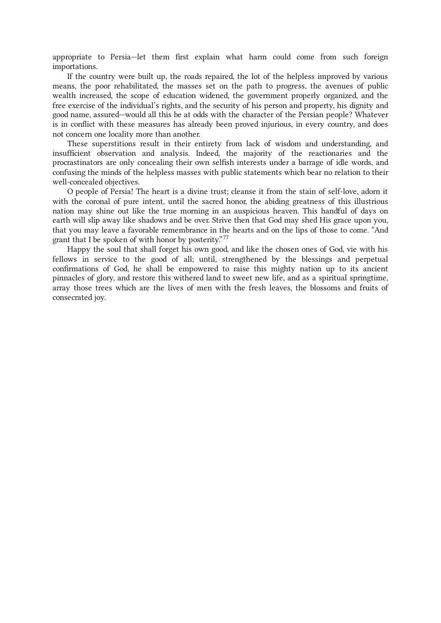appropriate to Persia—let them first explain what harm could come from such foreign importations.

If the country were built up, the roads repaired, the lot of the helpless improved by various means, the poor rehabilitated, the masses set on the path to progress, the avenues of public wealth increased, the scope of education widened, the government properly organized, and the free exercise of the individual's rights, and the security of his person and property, his dignity and good name, assured—would all this be at odds with the character of the Persian people? Whatever is in conflict with these measures has already been proved injurious, in every country, and does not concern one locality more than another.

These superstitions result in their entirety from lack of wisdom and understanding, and insufficient observation and analysis. Indeed, the majority of the reactionaries and the procrastinators are only concealing their own selfish interests under a barrage of idle words, and confusing the minds of the helpless masses with public statements which bear no relation to their well-concealed objectives.

<span id="page-34-0"></span>O people of Persia! The heart is a divine trust; cleanse it from the stain of self-love, adorn it with the coronal of pure intent, until the sacred honor, the abiding greatness of this illustrious nation may shine out like the true morning in an auspicious heaven. This handful of days on earth will slip away like shadows and be over. Strive then that God may shed His grace upon you, that you may leave a favorable remembrance in the hearts and on the lips of those to come. "And grant that I be spoken of with honor by posterity."<sup>[77](#page-37-16)</sup>

Happy the soul that shall forget his own good, and like the chosen ones of God, vie with his fellows in service to the good of all; until, strengthened by the blessings and perpetual confirmations of God, he shall be empowered to raise this mighty nation up to its ancient pinnacles of glory, and restore this withered land to sweet new life, and as a spiritual springtime, array those trees which are the lives of men with the fresh leaves, the blossoms and fruits of consecrated joy.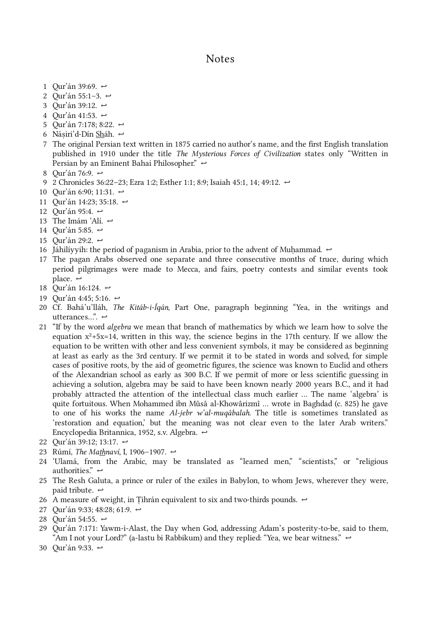# Notes

- <span id="page-35-0"></span>Qur'án 39:69. [↩](#page-0-0) 1
- <span id="page-35-1"></span>Qur'án 55:1–3. [↩](#page-0-0) 2
- <span id="page-35-2"></span>Qur'án 39:12. [↩](#page-0-1) 3
- <span id="page-35-3"></span>Qur'án 41:53. [↩](#page-0-2) 4
- <span id="page-35-4"></span>Qur'án 7:178; 8:22. [↩](#page-1-0) 5
- <span id="page-35-5"></span>6 Náṣiri'd-Dín <u>Sh</u>áh. ↔
- <span id="page-35-6"></span>The original Persian text written in 1875 carried no author's name, and the first English translation 7 published in 1910 under the title The Mysterious Forces of Civilization states only "Written in Persian by an Eminent Bahai Philosopher."  $\leftrightarrow$
- <span id="page-35-7"></span>Qur'án 76:9. [↩](#page-1-1) 8
- <span id="page-35-8"></span>9 2 Chronicles 36:22−23; Ezra 1:2; Esther 1:1; 8:9; Isaiah 45:1, 14; 49:12. ↔
- <span id="page-35-9"></span>10 Qur'án 6:90; 11:31. ←
- <span id="page-35-10"></span>11 Qur'án 14:23; 35:18.  $\leftrightarrow$
- <span id="page-35-11"></span>12 Qur'án 95:4.  $\leftrightarrow$
- <span id="page-35-12"></span>13 The Imám 'Alí.  $\leftrightarrow$
- <span id="page-35-13"></span>Qur'án 5:85. [↩](#page-7-0) 14
- <span id="page-35-14"></span>15 Qur'án 29:2.  $\leftrightarrow$
- <span id="page-35-15"></span>16 Jáhilíyyih: the period of paganism in Arabia, prior to the advent of Muḥammad.  $\leftrightarrow$
- <span id="page-35-16"></span>17 The pagan Arabs observed one separate and three consecutive months of truce, during which period pilgrimages were made to Mecca, and fairs, poetry contests and similar events took place.  $\leftrightarrow$
- <span id="page-35-17"></span>18 Qur'án 16:124.  $\leftrightarrow$
- <span id="page-35-18"></span>19 Qur'án 4:45; 5:16. ↔
- <span id="page-35-19"></span>20 Cf. Bahá'u'lláh, *The Kitáb-i-Iqán*, Part One, paragraph beginning "Yea, in the writings and utterances…".  $\leftrightarrow$
- <span id="page-35-20"></span>21 "If by the word *algebra* we mean that branch of mathematics by which we learn how to solve the equation  $x^2+5x=14$ , written in this way, the science begins in the 17th century. If we allow the equation to be written with other and less convenient symbols, it may be considered as beginning at least as early as the 3rd century. If we permit it to be stated in words and solved, for simple cases of positive roots, by the aid of geometric figures, the science was known to Euclid and others of the Alexandrian school as early as 300 B.C. If we permit of more or less scientific guessing in achieving a solution, algebra may be said to have been known nearly 2000 years B.C., and it had probably attracted the attention of the intellectual class much earlier … The name 'algebra' is quite fortuitous. When Mohammed ibn Mûsâ al-Khowârizmî … wrote in Baghdad (c. 825) he gave to one of his works the name Al-jebr w'al-muqâbalah. The title is sometimes translated as 'restoration and equation,' but the meaning was not clear even to the later Arab writers." Encyclopedia Britannica, 1952, s.v. Algebra.  $\leftrightarrow$
- <span id="page-35-21"></span>22 Qur'án 39:12; 13:17. ↔
- <span id="page-35-22"></span>23 Rúmí, *The Ma<u>th</u>naví*, I, 1906–1907. ↔
- <span id="page-35-23"></span>'Ulamá, from the Arabic, may be translated as "learned men," "scientists," or "religious 24 authorities."  $\leftrightarrow$
- <span id="page-35-24"></span>The Resh Galuta, a prince or ruler of the exiles in Babylon, to whom Jews, wherever they were, 25 paid tribute.  $\leftrightarrow$
- <span id="page-35-25"></span>26 A measure of weight, in Tihrán equivalent to six and two-thirds pounds.  $\leftrightarrow$
- <span id="page-35-26"></span>27 Qur'án 9:33; 48:28; 61:9. ↔
- <span id="page-35-27"></span>Qur'án 54:55. [↩](#page-12-1) 28
- <span id="page-35-28"></span>Qur'án 7:171: Yawm-i-Alast, the Day when God, addressing Adam's posterity-to-be, said to them, 29 "Am I not your Lord?" (a-lastu bi Rabbikum) and they replied: "Yea, we bear witness."  $\leftrightarrow$
- <span id="page-35-29"></span>Qur'án 9:33. [↩](#page-12-2) 30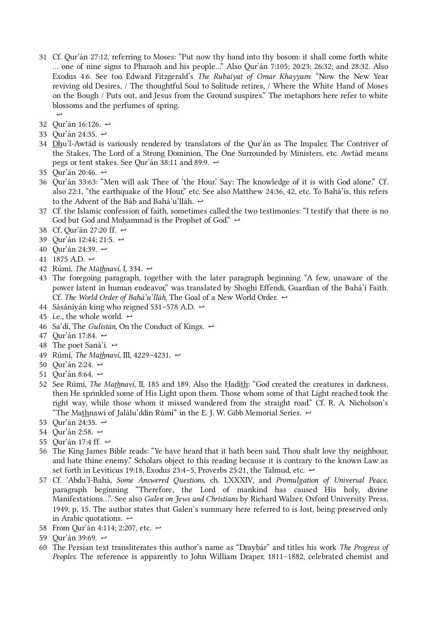- <span id="page-36-0"></span>Cf. Qur'án 27:12, referring to Moses: "Put now thy hand into thy bosom: it shall come forth white 31 … one of nine signs to Pharaoh and his people…" Also Qur'án 7:105; 20:23; 26:32; and 28:32. Also Exodus 4:6. See too Edward Fitzgerald's The Rubaiyat of Omar Khayyam: "Now the New Year reviving old Desires, / The thoughtful Soul to Solitude retires, / Where the White Hand of Moses on the Bough / Puts out, and Jesus from the Ground suspires." The metaphors here refer to white blossoms and the perfumes of spring.
	- $\rightarrow$
- <span id="page-36-1"></span>Qur'án 16:126. [↩](#page-15-1) 32
- <span id="page-36-2"></span>Qur'án 24:35. [↩](#page-15-1) 33
- <span id="page-36-3"></span>34 Dhu'l-Awtád is variously rendered by translators of the Qur'án as The Impaler, The Contriver of the Stakes, The Lord of a Strong Dominion, The One Surrounded by Ministers, etc. Awtád means pegs or tent stakes. See Qur'án 38:11 and 89:9.  $\leftrightarrow$
- <span id="page-36-4"></span>Qur'án 20:46. [↩](#page-15-1) 35
- <span id="page-36-5"></span>Qur'án 33:63: "Men will ask Thee of 'the Hour.' Say: The knowledge of it is with God alone." Cf. 36 also 22:1, "the earthquake of the Hour," etc. See also Matthew 24:36, 42, etc. To Bahá'ís, this refers to the Advent of the Báb and Bahá'u'lláh.  $\leftrightarrow$
- <span id="page-36-6"></span>Cf. the Islamic confession of faith, sometimes called the two testimonies: "I testify that there is no 37 God but God and Muhammad is the Prophet of God."  $\leftrightarrow$
- <span id="page-36-7"></span>38 Cf. Qur'án 27:20 ff. ↔
- <span id="page-36-8"></span>Qur'án 12:44; 21:5. [↩](#page-17-0) 39
- <span id="page-36-9"></span>Qur'án 24:39. [↩](#page-17-0) 40
- <span id="page-36-10"></span>41 1875 A.D.  $\leftrightarrow$
- <span id="page-36-11"></span>42 Rúmí, *The Ma<u>th</u>naví*, I, 334. ↔
- <span id="page-36-12"></span>The foregoing paragraph, together with the later paragraph beginning "A few, unaware of the 43 power latent in human endeavor," was translated by Shoghi Effendi, Guardian of the Bahá'í Faith. Cf. The World Order of Bahá'u'lláh, The Goal of a New World Order. ↔
- <span id="page-36-13"></span>44 Sásáníyán king who reigned 531–578 A.D. ↔
- <span id="page-36-14"></span>45 i.e., the whole world.  $\leftrightarrow$
- <span id="page-36-15"></span>46 Sa'dí, The *Gulistán*, On the Conduct of Kings.  $\leftrightarrow$
- <span id="page-36-16"></span>Qur'án 17:84. [↩](#page-21-0) 47
- <span id="page-36-17"></span>48 The poet Saná'í. ↔
- <span id="page-36-18"></span>49 Rúmí, *The Ma<u>th</u>naví*, III, 4229–4231. ↔
- <span id="page-36-19"></span>Qur'án 2:24. [↩](#page-21-2) 50
- <span id="page-36-20"></span>Qur'án 8:64. [↩](#page-21-3) 51
- <span id="page-36-21"></span>52 See Rúmí, *The Ma<u>th</u>naví*, II, 185 and 189. Also the Ḥadí<u>th</u>: "God created the creatures in darkness, then He sprinkled some of His Light upon them. Those whom some of that Light reached took the right way, while those whom it missed wandered from the straight road." Cf. R. A. Nicholson's "The Mathnawí of Jalálu'ddín Rúmí" in the E. J. W. Gibb Memorial Series.  $\leftrightarrow$
- <span id="page-36-22"></span>Qur'án 24:35. [↩](#page-22-0) 53
- <span id="page-36-23"></span>Qur'án 2:58. [↩](#page-22-1) 54
- <span id="page-36-24"></span>Qur'án 17:4 ff. [↩](#page-22-1) 55
- <span id="page-36-25"></span>The King James Bible reads: "Ye have heard that it hath been said, Thou shalt love thy neighbour, 56 and hate thine enemy." Scholars object to this reading because it is contrary to the known Law as set forth in Leviticus 19:18, Exodus 23:4–5, Proverbs 25:21, the Talmud, etc.  $\leftrightarrow$
- <span id="page-36-26"></span>57 Cf. 'Abdu'l-Bahá, Some Answered Questions, ch. LXXXIV, and Promulgation of Universal Peace, paragraph beginning "Therefore, the Lord of mankind has caused His holy, divine Manifestations…". See also Galen on Jews and Christians by Richard Walzer, Oxford University Press, 1949, p. 15. The author states that Galen's summary here referred to is lost, being preserved only in Arabic quotations.  $\leftrightarrow$
- <span id="page-36-27"></span>58 From Qur'án 4:114; 2:207, etc. ↔
- <span id="page-36-28"></span>Qur'án 39:69. [↩](#page-25-1) 59
- <span id="page-36-29"></span>The Persian text transliterates this author's name as "Draybár" and titles his work The Progress of 60Peoples. The reference is apparently to John William Draper, 1811–1882, celebrated chemist and